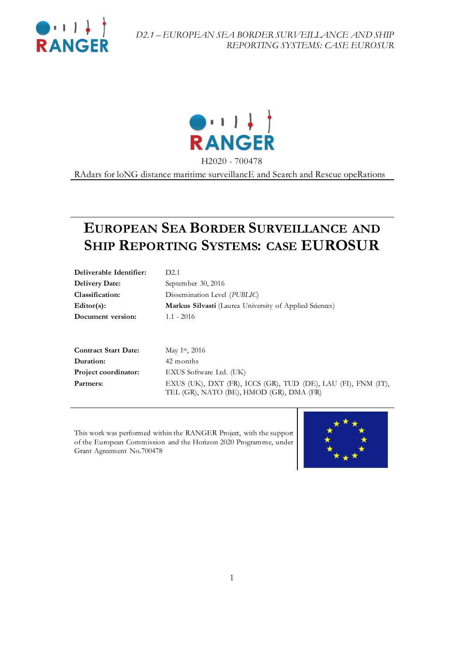



H2020 - 700478

RAdars for loNG distance maritime surveillancE and Search and Rescue opeRations

# **EUROPEAN SEA BORDER SURVEILLANCE AND SHIP REPORTING SYSTEMS: CASE EUROSUR**

| D <sub>2.1</sub>                                               |
|----------------------------------------------------------------|
| September 30, 2016                                             |
| Dissemination Level (PUBLIC)                                   |
| <b>Markus Silvasti</b> (Laurea University of Applied Sciences) |
| $1.1 - 2016$                                                   |
| May 1st, 2016                                                  |
| 42 months                                                      |
|                                                                |

| Project coordinator: | EXUS Software Ltd. (UK)                                                                                   |
|----------------------|-----------------------------------------------------------------------------------------------------------|
| Partners:            | EXUS (UK), DXT (FR), ICCS (GR), TUD (DE), LAU (FI), FNM (IT),<br>TEL (GR), NATO (BE), HMOD (GR), DMA (FR) |

This work was performed within the RANGER Project, with the support of the European Commission and the Horizon 2020 Programme, under Grant Agreement No.700478

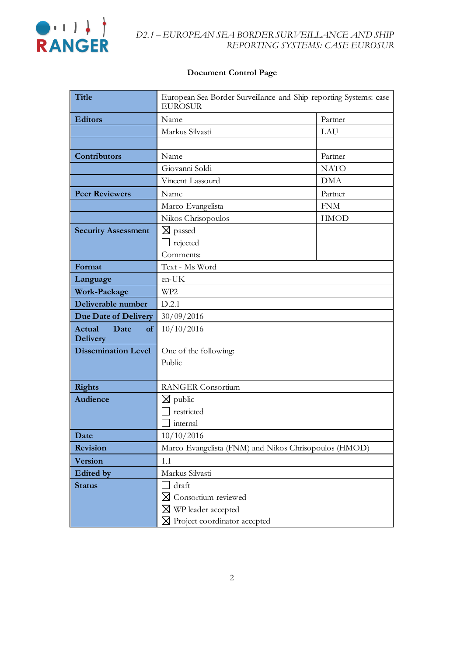

#### **Document Control Page**

| <b>Title</b>                                   | European Sea Border Surveillance and Ship reporting Systems: case<br><b>EUROSUR</b> |             |  |
|------------------------------------------------|-------------------------------------------------------------------------------------|-------------|--|
| <b>Editors</b>                                 | Name                                                                                | Partner     |  |
|                                                | Markus Silvasti                                                                     | LAU         |  |
|                                                |                                                                                     |             |  |
| Contributors                                   | Name                                                                                | Partner     |  |
|                                                | Giovanni Soldi                                                                      | <b>NATO</b> |  |
|                                                | Vincent Lassourd                                                                    | <b>DMA</b>  |  |
| <b>Peer Reviewers</b>                          | Name                                                                                | Partner     |  |
|                                                | Marco Evangelista                                                                   | <b>FNM</b>  |  |
|                                                | Nikos Chrisopoulos                                                                  | <b>HMOD</b> |  |
| <b>Security Assessment</b>                     | $\boxtimes$ passed                                                                  |             |  |
|                                                | $\Box$ rejected                                                                     |             |  |
|                                                | Comments:                                                                           |             |  |
| Format                                         | Text - Ms Word                                                                      |             |  |
| Language                                       | en-UK                                                                               |             |  |
| <b>Work-Package</b>                            | WP <sub>2</sub>                                                                     |             |  |
| Deliverable number                             | D.2.1                                                                               |             |  |
| <b>Due Date of Delivery</b>                    | 30/09/2016                                                                          |             |  |
| <b>Actual</b><br>Date<br>of<br><b>Delivery</b> | 10/10/2016                                                                          |             |  |
| <b>Dissemination Level</b>                     | One of the following:                                                               |             |  |
|                                                | Public                                                                              |             |  |
|                                                |                                                                                     |             |  |
| <b>Rights</b>                                  | <b>RANGER</b> Consortium                                                            |             |  |
| <b>Audience</b>                                | $\boxtimes$ public                                                                  |             |  |
|                                                | restricted                                                                          |             |  |
|                                                | internal                                                                            |             |  |
| Date                                           | 10/10/2016                                                                          |             |  |
| Revision                                       | Marco Evangelista (FNM) and Nikos Chrisopoulos (HMOD)                               |             |  |
| <b>Version</b>                                 | 1.1                                                                                 |             |  |
| <b>Edited</b> by                               | Markus Silvasti                                                                     |             |  |
| <b>Status</b>                                  | draft                                                                               |             |  |
|                                                | $\boxtimes$ Consortium reviewed                                                     |             |  |
|                                                | $\boxtimes$ WP leader accepted                                                      |             |  |
|                                                | $\boxtimes$ Project coordinator accepted                                            |             |  |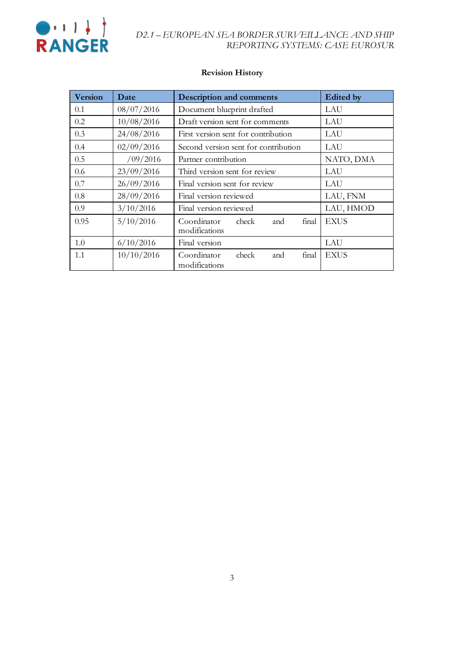

#### **Revision History**

| <b>Version</b> | Date       | <b>Description and comments</b>                       | <b>Edited by</b> |
|----------------|------------|-------------------------------------------------------|------------------|
| 0.1            | 08/07/2016 | Document blueprint drafted                            | LAU              |
| 0.2            | 10/08/2016 | Draft version sent for comments                       | LAU              |
| 0.3            | 24/08/2016 | First version sent for contribution                   | LAU              |
| 0.4            | 02/09/2016 | Second version sent for contribution                  | LAU              |
| 0.5            | /09/2016   | Partner contribution                                  | NATO, DMA        |
| 0.6            | 23/09/2016 | Third version sent for review                         | LAU              |
| 0.7            | 26/09/2016 | Final version sent for review                         | LAU              |
| 0.8            | 28/09/2016 | Final version reviewed                                | LAU, FNM         |
| 0.9            | 3/10/2016  | Final version reviewed                                | LAU, HMOD        |
| 0.95           | 5/10/2016  | Coordinator<br>check<br>final<br>and<br>modifications | <b>EXUS</b>      |
| 1.0            | 6/10/2016  | Final version                                         | LAU              |
| 1.1            | 10/10/2016 | Coordinator<br>check<br>final<br>and<br>modifications | <b>EXUS</b>      |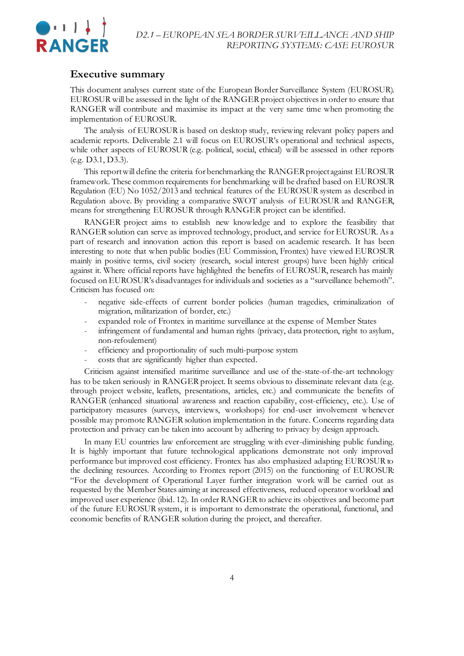

#### **Executive summary**

This document analyses current state of the European Border Surveillance System (EUROSUR). EUROSUR will be assessed in the light of the RANGER project objectives in order to ensure that RANGER will contribute and maximise its impact at the very same time when promoting the implementation of EUROSUR.

The analysis of EUROSUR is based on desktop study, reviewing relevant policy papers and academic reports. Deliverable 2.1 will focus on EUROSUR's operational and technical aspects, while other aspects of EUROSUR (e.g. political, social, ethical) will be assessed in other reports (e.g. D3.1, D3.3).

This report will define the criteria for benchmarking the RANGERproject against EUROSUR framework. These common requirements for benchmarking will be drafted based on EUROSUR Regulation (EU) No 1052/2013 and technical features of the EUROSUR system as described in Regulation above. By providing a comparative SWOT analysis of EUROSUR and RANGER, means for strengthening EUROSUR through RANGER project can be identified.

RANGER project aims to establish new knowledge and to explore the feasibility that RANGER solution can serve as improved technology, product, and service for EUROSUR. As a part of research and innovation action this report is based on academic research. It has been interesting to note that when public bodies (EU Commission, Frontex) have viewed EUROSUR mainly in positive terms, civil society (research, social interest groups) have been highly critical against it. Where official reports have highlighted the benefits of EUROSUR, research has mainly focused on EUROSUR's disadvantages for individuals and societies as a "surveillance behemoth". Criticism has focused on:

- negative side-effects of current border policies (human tragedies, criminalization of migration, militarization of border, etc.)
- expanded role of Frontex in maritime surveillance at the expense of Member States
- infringement of fundamental and human rights (privacy, data protection, right to asylum, non-refoulement)
- efficiency and proportionality of such multi-purpose system
- costs that are significantly higher than expected.

Criticism against intensified maritime surveillance and use of the-state-of-the-art technology has to be taken seriously in RANGER project. It seems obvious to disseminate relevant data (e.g. through project website, leaflets, presentations, articles, etc.) and communicate the benefits of RANGER (enhanced situational awareness and reaction capability, cost-efficiency, etc.). Use of participatory measures (surveys, interviews, workshops) for end-user involvement whenever possible may promote RANGER solution implementation in the future. Concerns regarding data protection and privacy can be taken into account by adhering to privacy by design approach.

In many EU countries law enforcement are struggling with ever-diminishing public funding. It is highly important that future technological applications demonstrate not only improved performance but improved cost efficiency. Frontex has also emphasized adapting EUROSUR to the declining resources. According to Frontex report (2015) on the functioning of EUROSUR: "For the development of Operational Layer further integration work will be carried out as requested by the Member States aiming at increased effectiveness, reduced operator workload and improved user experience (ibid. 12). In order RANGER to achieve its objectives and become part of the future EUROSUR system, it is important to demonstrate the operational, functional, and economic benefits of RANGER solution during the project, and thereafter.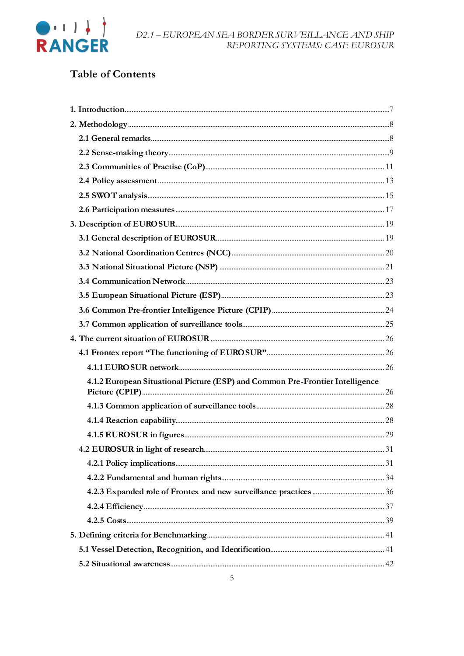

# **Table of Contents**

| 4.1.2 European Situational Picture (ESP) and Common Pre-Frontier Intelligence |  |
|-------------------------------------------------------------------------------|--|
|                                                                               |  |
|                                                                               |  |
|                                                                               |  |
|                                                                               |  |
|                                                                               |  |
|                                                                               |  |
|                                                                               |  |
|                                                                               |  |
|                                                                               |  |
|                                                                               |  |
|                                                                               |  |
|                                                                               |  |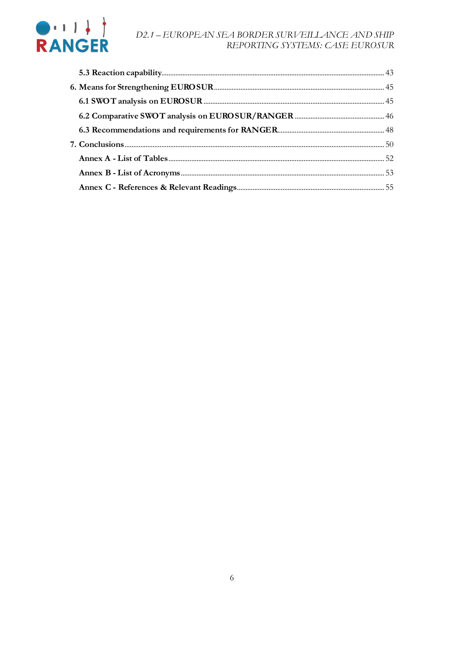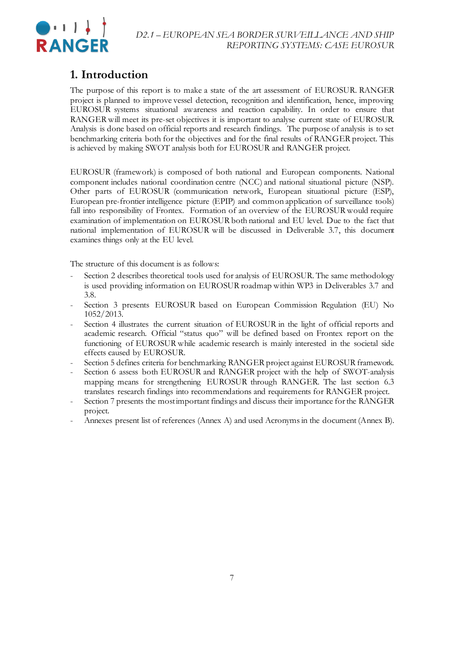

# <span id="page-6-0"></span>**1. Introduction**

The purpose of this report is to make a state of the art assessment of EUROSUR. RANGER project is planned to improve vessel detection, recognition and identification, hence, improving EUROSUR systems situational awareness and reaction capability. In order to ensure that RANGER will meet its pre-set objectives it is important to analyse current state of EUROSUR. Analysis is done based on official reports and research findings. The purpose of analysis is to set benchmarking criteria both for the objectives and for the final results of RANGER project. This is achieved by making SWOT analysis both for EUROSUR and RANGER project.

EUROSUR (framework) is composed of both national and European components. National component includes national coordination centre (NCC) and national situational picture (NSP). Other parts of EUROSUR (communication network, European situational picture (ESP), European pre-frontier intelligence picture (EPIP) and common application of surveillance tools) fall into responsibility of Frontex. Formation of an overview of the EUROSUR would require examination of implementation on EUROSUR both national and EU level. Due to the fact that national implementation of EUROSUR will be discussed in Deliverable 3.7, this document examines things only at the EU level.

The structure of this document is as follows:

- Section 2 describes theoretical tools used for analysis of EUROSUR. The same methodology is used providing information on EUROSUR roadmap within WP3 in Deliverables 3.7 and 3.8.
- Section 3 presents EUROSUR based on European Commission Regulation (EU) No 1052/2013.
- Section 4 illustrates the current situation of EUROSUR in the light of official reports and academic research. Official "status quo" will be defined based on Frontex report on the functioning of EUROSUR while academic research is mainly interested in the societal side effects caused by EUROSUR.
- Section 5 defines criteria for benchmarking RANGER project against EUROSUR framework.
- Section 6 assess both EUROSUR and RANGER project with the help of SWOT-analysis mapping means for strengthening EUROSUR through RANGER. The last section 6.3 translates research findings into recommendations and requirements for RANGER project.
- Section 7 presents the most important findings and discuss their importance for the RANGER project.
- Annexes present list of references (Annex A) and used Acronyms in the document (Annex B).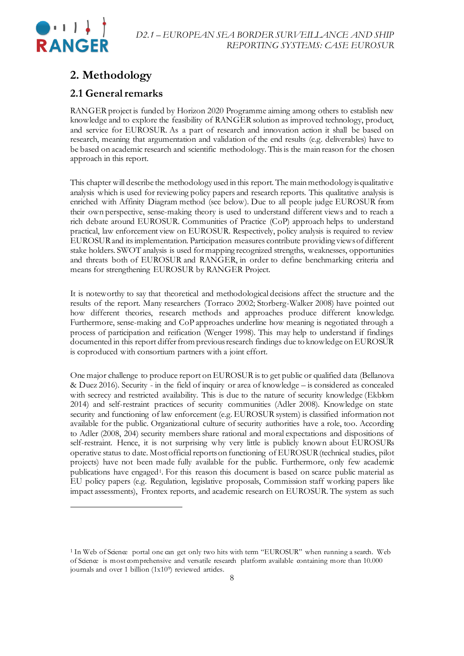

 $\overline{a}$ 

# <span id="page-7-0"></span>**2. Methodology**

### <span id="page-7-1"></span>**2.1 General remarks**

RANGER project is funded by Horizon 2020 Programme aiming among others to establish new knowledge and to explore the feasibility of RANGER solution as improved technology, product, and service for EUROSUR. As a part of research and innovation action it shall be based on research, meaning that argumentation and validation of the end results (e.g. deliverables) have to be based on academic research and scientific methodology. This is the main reason for the chosen approach in this report.

This chapter will describe the methodology used in this report. The main methodology is qualitative analysis which is used for reviewing policy papers and research reports. This qualitative analysis is enriched with Affinity Diagram method (see below). Due to all people judge EUROSUR from their own perspective, sense-making theory is used to understand different views and to reach a rich debate around EUROSUR. Communities of Practice (CoP) approach helps to understand practical, law enforcement view on EUROSUR. Respectively, policy analysis is required to review EUROSURand its implementation. Participation measures contribute providing views of different stake holders. SWOT analysis is used for mapping recognized strengths, weaknesses, opportunities and threats both of EUROSUR and RANGER, in order to define benchmarking criteria and means for strengthening EUROSUR by RANGER Project.

It is noteworthy to say that theoretical and methodological decisions affect the structure and the results of the report. Many researchers (Torraco 2002; Storberg-Walker 2008) have pointed out how different theories, research methods and approaches produce different knowledge. Furthermore, sense-making and CoP approaches underline how meaning is negotiated through a process of participation and reification (Wenger 1998). This may help to understand if findings documented in this report differ from previous research findings due to knowledge on EUROSUR is coproduced with consortium partners with a joint effort.

One major challenge to produce report on EUROSUR is to get public or qualified data (Bellanova & Duez 2016). Security - in the field of inquiry or area of knowledge – is considered as concealed with secrecy and restricted availability. This is due to the nature of security knowledge (Ekblom 2014) and self-restraint practices of security communities (Adler 2008). Knowledge on state security and functioning of law enforcement (e.g. EUROSUR system) is classified information not available for the public. Organizational culture of security authorities have a role, too. According to Adler (2008, 204) security members share rational and moral expectations and dispositions of self-restraint. Hence, it is not surprising why very little is publicly known about EUROSURs operative status to date. Most official reports on functioning of EUROSUR(technical studies, pilot projects) have not been made fully available for the public. Furthermore, only few academic publications have engaged<sup>1</sup>. For this reason this document is based on scarce public material as EU policy papers (e.g. Regulation, legislative proposals, Commission staff working papers like impact assessments), Frontex reports, and academic research on EUROSUR. The system as such

<sup>&</sup>lt;sup>1</sup> In Web of Science portal one can get only two hits with term "EUROSUR" when running a search. Web of Science is most comprehensive and versatile research platform available containing more than 10.000 journals and over 1 billion  $(1x10<sup>9</sup>)$  reviewed articles.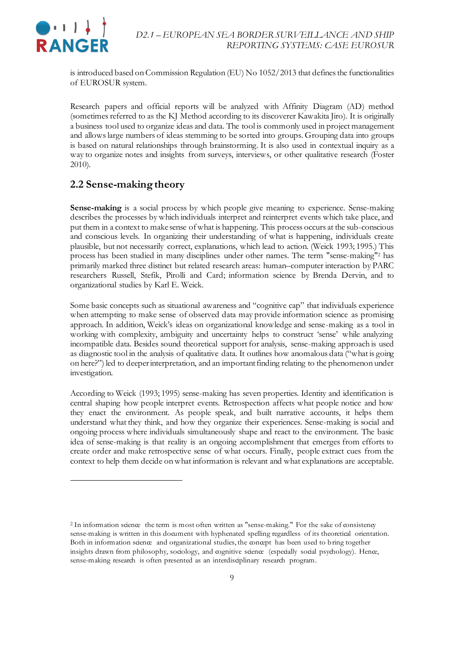

 $\overline{a}$ 

### *D2.1 – EUROPEAN SEA BORDER SURVEILLANCE AND SHIP REPORTING SYSTEMS: CASE EUROSUR*

is introduced based on Commission Regulation (EU) No 1052/2013 that defines the functionalities of EUROSUR system.

Research papers and official reports will be analyzed with Affinity Diagram (AD) method (sometimes referred to as the KJ Method according to its discoverer Kawakita Jiro). It is originally a business tool used to organize ideas and data. The tool is commonly used i[n project management](https://en.wikipedia.org/wiki/Project_management) and allows large numbers of ideas stemming to be sorted into groups. Grouping data into groups is based on natural relationships through brainstorming. It is also used i[n contextual inquiry](https://en.wikipedia.org/wiki/Contextual_inquiry) as a way to organize notes and insights from surveys, interviews, or other qualitative research (Foster 2010).

### <span id="page-8-0"></span>**2.2 Sense-making theory**

**Sense-making** is a social process by which people give [meaning](https://en.wikipedia.org/wiki/Semantics) to [experience.](https://en.wikipedia.org/wiki/Experience) Sense-making describes the processes by which individuals interpret and reinterpret events which take place, and put them in a context to make sense of what is happening. This process occurs at the sub-conscious and conscious levels. In organizing their understanding of what is happening, individuals create plausible, but not necessarily correct, explanations, which lead to action. (Weick 1993; 1995.) This process has been studied in many disciplines under other names. The term "sense-making"<sup>2</sup> has primarily marked three distinct but related research areas: human–[computer interaction](https://en.wikipedia.org/wiki/Human%E2%80%93computer_interaction) b[y PARC](https://en.wikipedia.org/wiki/PARC_(company)) researchers Russell, Stefik, Pirolli and [Card;](https://en.wikipedia.org/wiki/Stuart_Card) [information science](https://en.wikipedia.org/wiki/Information_science) by [Brenda Dervin,](https://en.wikipedia.org/wiki/Brenda_Dervin) and to [organizational studies](https://en.wikipedia.org/wiki/Organizational_studies) b[y Karl E. Weick.](https://en.wikipedia.org/wiki/Karl_E._Weick)

Some basic concepts such as situational awareness and "cognitive cap" that individuals experience when attempting to make sense of observed data may provide information science as promising approach. In addition, Weick's ideas on organizational knowledge and sense-making as a tool in working with complexity, ambiguity and uncertainty helps to construct 'sense' while analyzing incompatible data. Besides sound theoretical support for analysis, sense-making approach is used as diagnostic tool in the analysis of qualitative data. It outlines how anomalous data ("what is going on here?") led to deeper interpretation, and an important finding relating to the phenomenon under investigation.

According to Weick (1993; 1995) sense-making has seven properties. Identity and identification is central shaping how people interpret events. Retrospection affects what people notice and how they enact the environment. As people speak, and built narrative accounts, it helps them understand what they think, and how they organize their experiences. Sense-making is social and ongoing process where individuals simultaneously shape and react to the environment. The basic idea of sense-making is that reality is an ongoing accomplishment that emerges from efforts to create order and make retrospective sense of what occurs. Finally, people extract cues from the context to help them decide on what information is relevant and what explanations are acceptable.

<sup>&</sup>lt;sup>2</sup> In information science the term is most often written as "sense-making." For the sake of consistency sense-making is written in this document with hyphenated spelling regardless of its theoretical orientation. Both in information science and organizational studies, the concept has been used to bring together insights drawn from philosophy, [sociology,](https://en.wikipedia.org/wiki/Sociology) and [cognitive science](https://en.wikipedia.org/wiki/Cognitive_science) (especially [social psychology\)](https://en.wikipedia.org/wiki/Social_psychology). Hence, sense-making research is often presented as an [interdisciplinary](https://en.wikipedia.org/wiki/Interdisciplinary) [research program.](https://en.wikipedia.org/wiki/Research_programme)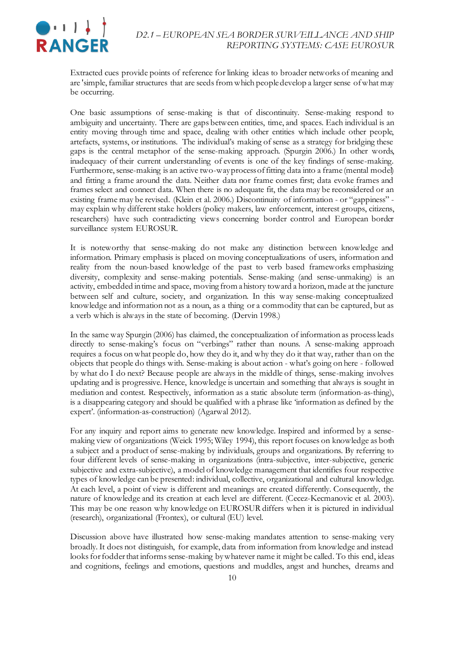

Extracted cues provide points of reference for linking ideas to broader networks of meaning and are 'simple, familiar structures that are seeds from which people develop a larger sense of what may be occurring.

One basic assumptions of sense-making is that of discontinuity. Sense-making respond to ambiguity and uncertainty. There are gaps between entities, time, and spaces. Each individual is an entity moving through time and space, dealing with other entities which include other people, artefacts, systems, or institutions. The individual's making of sense as a strategy for bridging these gaps is the central metaphor of the sense-making approach. (Spurgin 2006.) In other words, inadequacy of their current understanding of events is one of the key findings of sense-making. Furthermore, sense-making is an active two-way process of fitting data into a frame (mental model) and fitting a frame around the data. Neither data nor frame comes first; data evoke frames and frames select and connect data. When there is no adequate fit, the data may be reconsidered or an existing frame may be revised. (Klein et al. 2006.) Discontinuity of information - or "gappiness" may explain why different stake holders (policy makers, law enforcement, interest groups, citizens, researchers) have such contradicting views concerning border control and European border surveillance system EUROSUR.

It is noteworthy that sense-making do not make any distinction between knowledge and information. Primary emphasis is placed on moving conceptualizations of users, information and reality from the noun-based knowledge of the past to verb based frameworks emphasizing diversity, complexity and sense-making potentials. Sense-making (and sense-unmaking) is an activity, embedded in time and space, moving from a history toward a horizon, made at the juncture between self and culture, society, and organization. In this way sense-making conceptualized knowledge and information not as a noun, as a thing or a commodity that can be captured, but as a verb which is always in the state of becoming. (Dervin 1998.)

In the same way Spurgin (2006) has claimed, the conceptualization of information as process leads directly to sense-making's focus on "verbings" rather than nouns. A sense-making approach requires a focus on what people do, how they do it, and why they do it that way, rather than on the objects that people do things with. Sense-making is about action - what's going on here - followed by what do I do next? Because people are always in the middle of things, sense-making involves updating and is progressive. Hence, knowledge is uncertain and something that always is sought in mediation and contest. Respectively, information as a static absolute term (information-as-thing), is a disappearing category and should be qualified with a phrase like 'information as defined by the expert'. (information-as-construction) (Agarwal 2012).

For any inquiry and report aims to generate new knowledge. Inspired and informed by a sensemaking view of organizations (Weick 1995; Wiley 1994), this report focuses on knowledge as both a subject and a product of sense-making by individuals, groups and organizations. By referring to four different levels of sense-making in organizations (intra-subjective, inter-subjective, generic subjective and extra-subjective), a model of knowledge management that identifies four respective types of knowledge can be presented: individual, collective, organizational and cultural knowledge. At each level, a point of view is different and meanings are created differently. Consequently, the nature of knowledge and its creation at each level are different. (Cecez-Kecmanovic et al. 2003). This may be one reason why knowledge on EUROSUR differs when it is pictured in individual (research), organizational (Frontex), or cultural (EU) level.

Discussion above have illustrated how sense-making mandates attention to sense-making very broadly. It does not distinguish, for example, data from information from knowledge and instead looks for fodder that informs sense-making by whatever name it might be called. To this end, ideas and cognitions, feelings and emotions, questions and muddles, angst and hunches, dreams and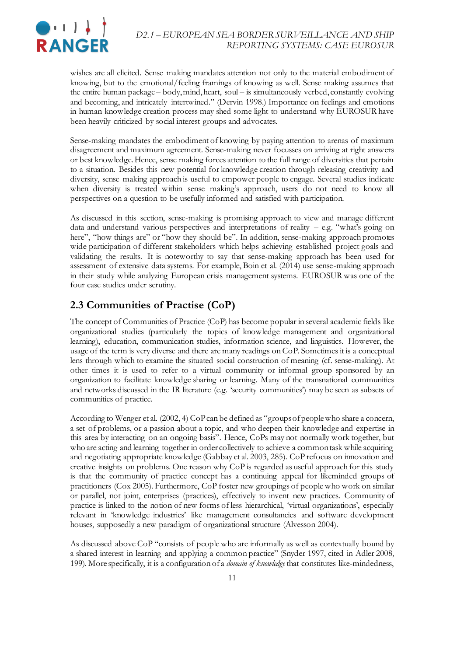

wishes are all elicited. Sense making mandates attention not only to the material embodiment of knowing, but to the emotional/feeling framings of knowing as well. Sense making assumes that the entire human package – body, mind, heart, soul – is simultaneously verbed, constantly evolving and becoming, and intricately intertwined." (Dervin 1998.) Importance on feelings and emotions in human knowledge creation process may shed some light to understand why EUROSUR have been heavily criticized by social interest groups and advocates.

Sense-making mandates the embodiment of knowing by paying attention to arenas of maximum disagreement and maximum agreement. Sense-making never focusses on arriving at right answers or best knowledge. Hence, sense making forces attention to the full range of diversities that pertain to a situation. Besides this new potential for knowledge creation through releasing creativity and diversity, sense making approach is useful to empower people to engage. Several studies indicate when diversity is treated within sense making's approach, users do not need to know all perspectives on a question to be usefully informed and satisfied with participation.

As discussed in this section, sense-making is promising approach to view and manage different data and understand various perspectives and interpretations of reality – e.g. "what's going on here", "how things are" or "how they should be". In addition, sense-making approach promotes wide participation of different stakeholders which helps achieving established project goals and validating the results. It is noteworthy to say that sense-making approach has been used for assessment of extensive data systems. For example, Boin et al. (2014) use sense-making approach in their study while analyzing European crisis management systems. EUROSUR was one of the four case studies under scrutiny.

### <span id="page-10-0"></span>**2.3 Communities of Practise (CoP)**

The concept of Communities of Practice (CoP) has become popular in several academic fields like organizational studies (particularly the topics of knowledge management and organizational learning), education, communication studies, information science, and linguistics. However, the usage of the term is very diverse and there are many readings on CoP. Sometimesit is a conceptual lens through which to examine the situated social construction of meaning (cf. sense-making). At other times it is used to refer to a virtual community or informal group sponsored by an organization to facilitate knowledge sharing or learning. Many of the transnational communities and networks discussed in the IR literature (e.g. 'security communities') may be seen as subsets of communities of practice.

According to Wenger et al. (2002, 4) CoP can be defined as "groups of people who share a concern, a set of problems, or a passion about a topic, and who deepen their knowledge and expertise in this area by interacting on an ongoing basis". Hence, CoPs may not normally work together, but who are acting and learning together in order collectively to achieve a common task while acquiring and negotiating appropriate knowledge (Gabbay et al. 2003, 285). CoP refocus on innovation and creative insights on problems. One reason why CoP is regarded as useful approach for this study is that the community of practice concept has a continuing appeal for likeminded groups of practitioners (Cox 2005). Furthermore, CoP foster new groupings of people who work on similar or parallel, not joint, enterprises (practices), effectively to invent new practices. Community of practice is linked to the notion of new forms of less hierarchical, 'virtual organizations', especially relevant in 'knowledge industries' like management consultancies and software development houses, supposedly a new paradigm of organizational structure (Alvesson 2004).

As discussed above CoP "consists of people who are informally as well as contextually bound by a shared interest in learning and applying a common practice" (Snyder 1997, cited in Adler 2008, 199). More specifically, it is a configuration of a *domain of knowledge* that constitutes like-mindedness,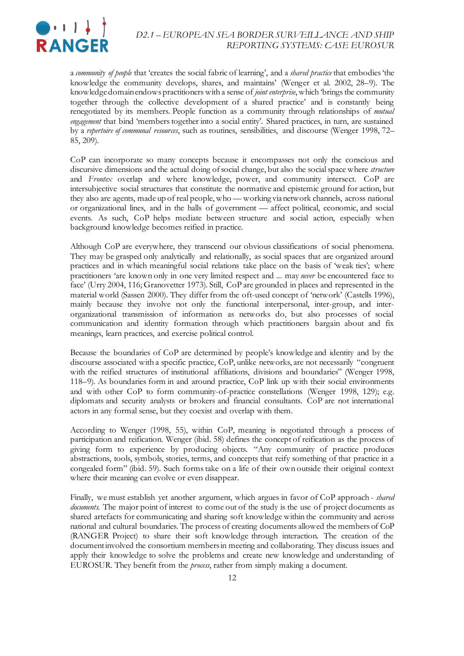

a *community of people* that 'creates the social fabric of learning', and a *shared practice* that embodies 'the knowledge the community develops, shares, and maintains' (Wenger et al. 2002, 28–9). The knowledge domain endows practitioners with a sense of *joint enterprise*, which 'brings the community together through the collective development of a shared practice' and is constantly being renegotiated by its members. People function as a community through relationships of *mutual engagement* that bind 'members together into a social entity'. Shared practices, in turn, are sustained by a *repertoire of communal resources*, such as routines, sensibilities, and discourse (Wenger 1998, 72– 85, 209).

CoP can incorporate so many concepts because it encompasses not only the conscious and discursive dimensions and the actual doing of social change, but also the social space where *structure*  and *Frontex* overlap and where knowledge, power, and community intersect. CoP are intersubjective social structures that constitute the normative and epistemic ground for action, but they also are agents, made up of real people, who — working via network channels, across national or organizational lines, and in the halls of government — affect political, economic, and social events. As such, CoP helps mediate between structure and social action, especially when background knowledge becomes reified in practice.

Although CoP are everywhere, they transcend our obvious classifications of social phenomena. They may be grasped only analytically and relationally, as social spaces that are organized around practices and in which meaningful social relations take place on the basis of 'weak ties'; where practitioners 'are known only in one very limited respect and ... may *never* be encountered face to face' (Urry 2004, 116; Granovetter 1973). Still, CoP are grounded in places and represented in the material world (Sassen 2000). They differ from the oft-used concept of 'network' (Castells 1996), mainly because they involve not only the functional interpersonal, inter-group, and interorganizational transmission of information as networks do, but also processes of social communication and identity formation through which practitioners bargain about and fix meanings, learn practices, and exercise political control.

Because the boundaries of CoP are determined by people's knowledge and identity and by the discourse associated with a specific practice, CoP, unlike networks, are not necessarily "congruent with the reified structures of institutional affiliations, divisions and boundaries" (Wenger 1998, 118–9). As boundaries form in and around practice, CoP link up with their social environments and with other CoP to form community-of-practice constellations (Wenger 1998, 129); e.g. diplomats and security analysts or brokers and financial consultants. CoP are not international actors in any formal sense, but they coexist and overlap with them.

According to Wenger (1998, 55), within CoP, meaning is negotiated through a process of participation and reification. Wenger (ibid. 58) defines the concept of reification as the process of giving form to experience by producing objects. "Any community of practice produces abstractions, tools, symbols, stories, terms, and concepts that reify something of that practice in a congealed form" (ibid. 59). Such forms take on a life of their own outside their original context where their meaning can evolve or even disappear.

Finally, we must establish yet another argument, which argues in favor of CoP approach - *shared documents*. The major point of interest to come out of the study is the use of project documents as shared artefacts for communicating and sharing soft knowledge within the community and across national and cultural boundaries. The process of creating documents allowed the members of CoP (RANGER Project) to share their soft knowledge through interaction. The creation of the documentinvolved the consortium members in meeting and collaborating. They discuss issues and apply their knowledge to solve the problems and create new knowledge and understanding of EUROSUR. They benefit from the *process*, rather from simply making a document.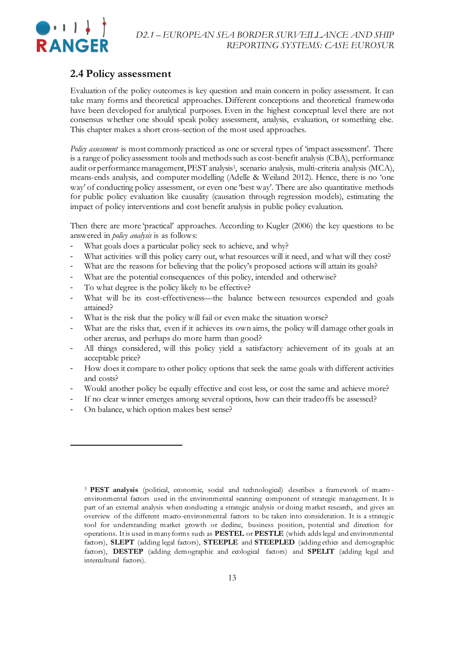

 $\overline{a}$ 

### <span id="page-12-0"></span>**2.4 Policy assessment**

Evaluation of the policy outcomes is key question and main concern in policy assessment. It can take many forms and theoretical approaches. Different conceptions and theoretical frameworks have been developed for analytical purposes. Even in the highest conceptual level there are not consensus whether one should speak policy assessment, analysis, evaluation, or something else. This chapter makes a short cross-section of the most used approaches.

Policy assessment is most commonly practiced as one or several types of 'impact assessment'. There is a range of policy assessment tools and methods such as cost-benefit analysis (CBA), performance audit or performance management, PEST analysis<sup>3</sup>, scenario analysis, multi-criteria analysis (MCA), means-ends analysis, and computer modelling (Adelle & Weiland 2012). Hence, there is no 'one way' of conducting policy assessment, or even one 'best way'. There are also quantitative methods for public policy evaluation like causality (causation through regression models), estimating the impact of policy interventions and cost benefit analysis in public policy evaluation.

Then there are more 'practical' approaches. According to Kugler (2006) the key questions to be answered in *policy analysis* is as follows:

- What goals does a particular policy seek to achieve, and why?
- What activities will this policy carry out, what resources will it need, and what will they cost?
- What are the reasons for believing that the policy's proposed actions will attain its goals?
- What are the potential consequences of this policy, intended and otherwise?
- To what degree is the policy likely to be effective?
- What will be its cost-effectiveness—the balance between resources expended and goals attained?
- What is the risk that the policy will fail or even make the situation worse?
- What are the risks that, even if it achieves its own aims, the policy will damage other goals in other arenas, and perhaps do more harm than good?
- All things considered, will this policy yield a satisfactory achievement of its goals at an acceptable price?
- How does it compare to other policy options that seek the same goals with different activities and costs?
- Would another policy be equally effective and cost less, or cost the same and achieve more?
- If no clear winner emerges among several options, how can their tradeoffs be assessed?
- On balance, which option makes best sense?

<sup>&</sup>lt;sup>3</sup> PEST analysis (political, economic, social and technological) describes a framework of macroenvironmental factors used in the [environmental scanning](https://en.wikipedia.org/wiki/Environmental_scanning) component o[f strategic management.](https://en.wikipedia.org/wiki/Strategic_management) It is part of an external analysis when conducting a strategic analysis or doing [market research,](https://en.wikipedia.org/wiki/Market_research) and gives an overview of the different macro-environmental factors to be taken into consideration. It is a strategic tool for understanding market growth or decline, business position, potential and direction for operations. It is used in many forms such as **PESTEL** or **PESTLE** (which adds legal and environmental factors), **SLEPT** (adding legal factors), **STEEPLE** and **STEEPLED** (adding ethics and demographic factors), **DESTEP** (adding demographic and ecological factors) and **SPELIT** (adding legal and intercultural factors).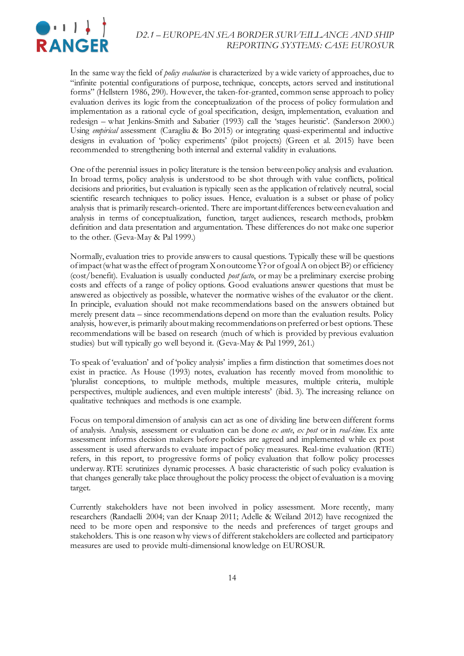

In the same way the field of *policy evaluation* is characterized by a wide variety of approaches, due to "infinite potential configurations of purpose, technique, concepts, actors served and institutional forms" (Hellstern 1986, 290). However, the taken-for-granted, common sense approach to policy evaluation derives its logic from the conceptualization of the process of policy formulation and implementation as a rational cycle of goal specification, design, implementation, evaluation and redesign – what Jenkins-Smith and Sabatier (1993) call the 'stages heuristic'. (Sanderson 2000.) Using *empirical* assessment (Caragliu & Bo 2015) or integrating quasi-experimental and inductive designs in evaluation of 'policy experiments' (pilot projects) (Green et al. 2015) have been recommended to strengthening both internal and external validity in evaluations.

One of the perennial issues in policy literature is the tension between policy analysis and evaluation. In broad terms, policy analysis is understood to be shot through with value conflicts, political decisions and priorities, but evaluation is typically seen as the application of relatively neutral, social scientific research techniques to policy issues. Hence, evaluation is a subset or phase of policy analysis that is primarily research-oriented. There are important differences between evaluation and analysis in terms of conceptualization, function, target audiences, research methods, problem definition and data presentation and argumentation. These differences do not make one superior to the other. (Geva-May & Pal 1999.)

Normally, evaluation tries to provide answers to causal questions. Typically these will be questions of impact (what was the effect of program X on outcome Y? or of goal A on object B?) or efficiency (cost/benefit). Evaluation is usually conducted *post facto*, or may be a preliminary exercise probing costs and effects of a range of policy options. Good evaluations answer questions that must be answered as objectively as possible, whatever the normative wishes of the evaluator or the client. In principle, evaluation should not make recommendations based on the answers obtained but merely present data – since recommendations depend on more than the evaluation results. Policy analysis, however, is primarily about making recommendations on preferred or best options. These recommendations will be based on research (much of which is provided by previous evaluation studies) but will typically go well beyond it. (Geva-May & Pal 1999, 261.)

To speak of 'evaluation' and of 'policy analysis' implies a firm distinction that sometimes does not exist in practice. As House (1993) notes, evaluation has recently moved from monolithic to 'pluralist conceptions, to multiple methods, multiple measures, multiple criteria, multiple perspectives, multiple audiences, and even multiple interests' (ibid. 3). The increasing reliance on qualitative techniques and methods is one example.

Focus on temporal dimension of analysis can act as one of dividing line between different forms of analysis. Analysis, assessment or evaluation can be done *ex ante*, *ex post* or in *real-time*. Ex ante assessment informs decision makers before policies are agreed and implemented while ex post assessment is used afterwards to evaluate impact of policy measures. Real-time evaluation (RTE) refers, in this report, to progressive forms of policy evaluation that follow policy processes underway. RTE scrutinizes dynamic processes. A basic characteristic of such policy evaluation is that changes generally take place throughout the policy process: the object of evaluation is a moving target.

Currently stakeholders have not been involved in policy assessment. More recently, many researchers (Randaelli 2004; van der Knaap 2011; Adelle & Weiland 2012) have recognized the need to be more open and responsive to the needs and preferences of target groups and stakeholders. This is one reason why views of different stakeholders are collected and participatory measures are used to provide multi-dimensional knowledge on EUROSUR.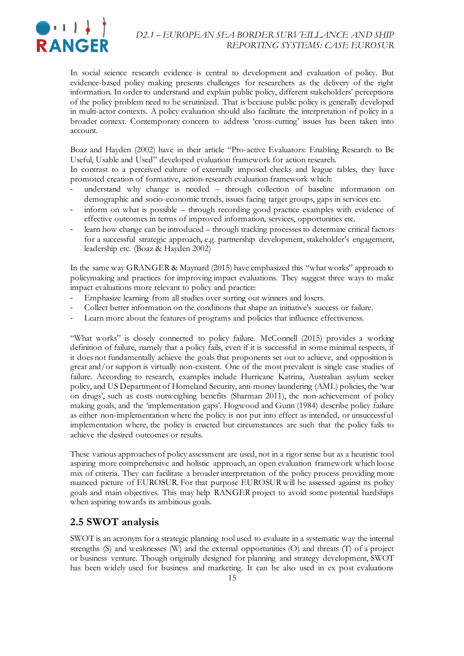

In social science research evidence is central to development and evaluation of policy. But evidence-based policy making presents challenges for researchers as the delivery of the right information. In order to understand and explain public policy, different stakeholders' perceptions of the policy problem need to be scrutinized. That is because public policy is generally developed in multi-actor contexts. A policy evaluation should also facilitate the interpretation of policy in a broader context. Contemporary concern to address 'cross-cutting' issues has been taken into account.

Boaz and Hayden (2002) have in their article "Pro-active Evaluators: Enabling Research to Be Useful, Usable and Used" developed evaluation framework for action research.

In contrast to a perceived culture of externally imposed checks and league tables, they have promoted creation of formative, action-research evaluation framework which:

- understand why change is needed through collection of baseline information on demographic and socio-economic trends, issues facing target groups, gaps in services etc.
- inform on what is possible through recording good practice examples with evidence of effective outcomes in terms of improved information, services, opportunities etc.
- learn how change can be introduced through tracking processes to determine critical factors for a successful strategic approach, e.g. partnership development, stakeholder's engagement, leadership etc. (Boaz & Hayden 2002)

In the same way GRANGER & Maynard (2015) have emphasized this "what works" approach to policymaking and practices for improving impact evaluations. They suggest three ways to make impact evaluations more relevant to policy and practice:

- Emphasize learning from all studies over sorting out winners and losers.
- Collect better information on the conditions that shape an initiative's success or failure.
- Learn more about the features of programs and policies that influence effectiveness.

"What works" is closely connected to policy failure. McConnell (2015) provides a working definition of failure, namely that a policy fails, even if it is successful in some minimal respects, if it does not fundamentally achieve the goals that proponents set out to achieve, and opposition is great and/or support is virtually non-existent. One of the most prevalent is single case studies of failure. According to research, examples include Hurricane Katrina, Australian asylum seeker policy, and US Department of Homeland Security, anti-money laundering (AML) policies, the 'war on drugs', such as costs outweighing benefits (Sharman 2011), the non-achievement of policy making goals, and the 'implementation gaps'. Hogwood and Gunn (1984) describe policy failure as either non-implementation where the policy is not put into effect as intended, or unsuccessful implementation where, the policy is enacted but circumstances are such that the policy fails to achieve the desired outcomes or results.

These various approaches of policy assessment are used, not in a rigor sense but as a heuristic tool aspiring more comprehensive and holistic approach, an open evaluation framework which loose mix of criteria. They can facilitate a broader interpretation of the policy process providing more nuanced picture of EUROSUR. For that purpose EUROSUR will be assessed against its policy goals and main objectives. This may help RANGER project to avoid some potential hardships when aspiring towards its ambitious goals.

### <span id="page-14-0"></span>**2.5 SWOT analysis**

SWOT is an acronym for a strategic planning tool used to evaluate in a systematic way the internal strengths (S) and weaknesses (W) and the external opportunities (O) and threats (T) of a project or business venture. Though originally designed for planning and strategy development, SWOT has been widely used for business and marketing. It can be also used in ex post evaluations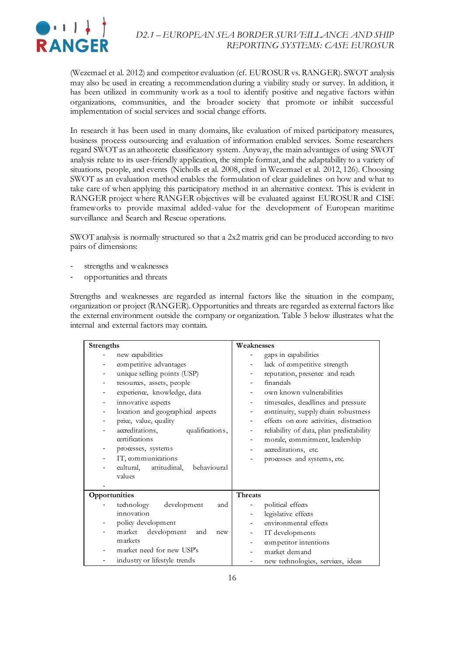

(Wezemael et al. 2012) and competitor evaluation (cf. EUROSUR vs. RANGER). SWOT analysis may also be used in creating a recommendation during a [viability study](https://en.wikipedia.org/wiki/Viability_study) or survey. In addition, it has been utilized in community work as a tool to identify positive and negative factors within organizations, communities, and the broader society that promote or inhibit successful implementation of social services and social change efforts.

In research it has been used in many domains, like evaluation of mixed participatory measures, business process outsourcing and evaluation of information enabled services. Some researchers regard SWOT as an atheoretic classificatory system. Anyway, the main advantages of using SWOT analysis relate to its user-friendly application, the simple format, and the adaptability to a variety of situations, people, and events (Nicholls et al. 2008, cited in Wezemael et al. 2012, 126). Choosing SWOT as an evaluation method enables the formulation of clear guidelines on how and what to take care of when applying this participatory method in an alternative context. This is evident in RANGER project where RANGER objectives will be evaluated against EUROSUR and CISE frameworks to provide maximal added-value for the development of European maritime surveillance and Search and Rescue operations.

SWOT analysis is normally structured so that a 2x2 matrix grid can be produced according to two pairs of dimensions:

- strengths and weaknesses
- opportunities and threats

Strengths and weaknesses are regarded as internal factors like the situation in the company, organization or project (RANGER). Opportunities and threats are regarded as external factors like the external environment outside the company or organization. Table 3 below illustrates what the internal and external factors may contain.

| <b>Strengths</b>                                                                                                                                                                                                                                                                                                                                                                                                                                                                                         | Weaknesses                                                                                                                                                                                                                                                                                                                                                                                               |
|----------------------------------------------------------------------------------------------------------------------------------------------------------------------------------------------------------------------------------------------------------------------------------------------------------------------------------------------------------------------------------------------------------------------------------------------------------------------------------------------------------|----------------------------------------------------------------------------------------------------------------------------------------------------------------------------------------------------------------------------------------------------------------------------------------------------------------------------------------------------------------------------------------------------------|
| new capabilities<br>competitive advantages<br>unique selling points (USP)<br>$\qquad \qquad \blacksquare$<br>resources, assets, people<br>$\qquad \qquad \blacksquare$<br>experience, knowledge, data<br>innovative aspects<br>-<br>location and geographical aspects<br>-<br>price, value, quality<br>-<br>accreditations,<br>qualifications,<br>-<br>certifications<br>processes, systems<br>-<br>IT, communications<br>$\overline{\phantom{a}}$<br>attitudinal,<br>cultural,<br>behavioural<br>values | gaps in capabilities<br>lack of competitive strength<br>reputation, presence and reach<br>financials<br>own known vulnerabilities<br>timescales, deadlines and pressure<br>continuity, supply chain robustness<br>effects on core activities, distraction<br>reliability of data, plan predictability<br>-<br>morale, commitment, leadership<br>-<br>accreditations, etc.<br>processes and systems, etc. |
| Opportunities                                                                                                                                                                                                                                                                                                                                                                                                                                                                                            | <b>Threats</b>                                                                                                                                                                                                                                                                                                                                                                                           |
| technology<br>development<br>and<br>innovation<br>policy development<br>development<br>market<br>and<br>new<br>markets<br>market need for new USP's                                                                                                                                                                                                                                                                                                                                                      | political effects<br>legislative effects<br>environmental effects<br>IT developments<br>-<br>competitor intentions<br>market demand                                                                                                                                                                                                                                                                      |
| industry or lifestyle trends                                                                                                                                                                                                                                                                                                                                                                                                                                                                             | new technologies, services, ideas<br>-                                                                                                                                                                                                                                                                                                                                                                   |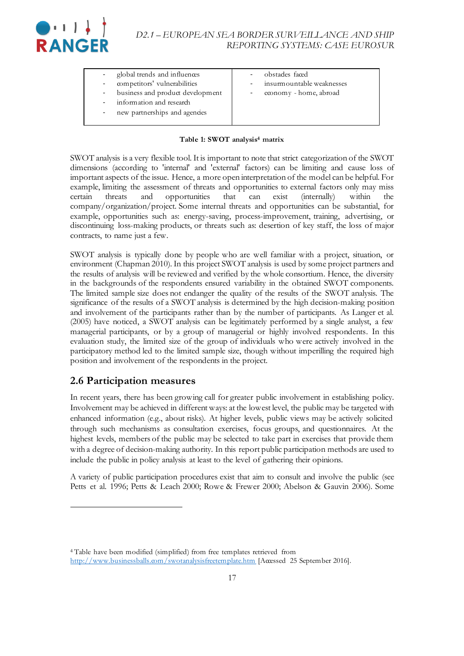

| global trends and influences<br>$\overline{\phantom{a}}$<br>competitors' vulnerabilities<br>business and product development<br>$\overline{\phantom{a}}$<br>information and research<br>$\overline{\phantom{a}}$<br>new partnerships and agencies<br>$\overline{\phantom{a}}$ | obstades faced<br>insurmountable weaknesses<br>economy - home, abroad |
|-------------------------------------------------------------------------------------------------------------------------------------------------------------------------------------------------------------------------------------------------------------------------------|-----------------------------------------------------------------------|
|                                                                                                                                                                                                                                                                               |                                                                       |
|                                                                                                                                                                                                                                                                               |                                                                       |

#### **Table 1: SWOT analysis<sup>4</sup> matrix**

SWOT analysis is a very flexible tool. It is important to note that strict categorization of the SWOT dimensions (according to 'internal' and 'external' factors) can be limiting and cause loss of important aspects of the issue. Hence, a more open interpretation of the model can be helpful. For example, limiting the assessment of threats and opportunities to external factors only may miss certain threats and opportunities that can exist (internally) within the company/organization/project. Some internal threats and opportunities can be substantial, for example, opportunities such as: energy-saving, process-improvement, training, advertising, or discontinuing loss-making products, or threats such as: desertion of key staff, the loss of major contracts, to name just a few.

SWOT analysis is typically done by people who are well familiar with a project, situation, or environment (Chapman 2010). In this project SWOT analysis is used by some project partners and the results of analysis will be reviewed and verified by the whole consortium. Hence, the diversity in the backgrounds of the respondents ensured variability in the obtained SWOT components. The limited sample size does not endanger the quality of the results of the SWOT analysis. The significance of the results of a SWOT analysis is determined by the high decision-making position and involvement of the participants rather than by the number of participants. As Langer et al. (2005) have noticed, a SWOT analysis can be legitimately performed by a single analyst, a few managerial participants, or by a group of managerial or highly involved respondents. In this evaluation study, the limited size of the group of individuals who were actively involved in the participatory method led to the limited sample size, though without imperilling the required high position and involvement of the respondents in the project.

### <span id="page-16-0"></span>**2.6 Participation measures**

 $\overline{a}$ 

In recent years, there has been growing call for greater public involvement in establishing policy. Involvement may be achieved in different ways: at the lowest level, the public may be targeted with enhanced information (e.g., about risks). At higher levels, public views may be actively solicited through such mechanisms as consultation exercises, focus groups, and questionnaires. At the highest levels, members of the public may be selected to take part in exercises that provide them with a degree of decision-making authority. In this report public participation methods are used to include the public in policy analysis at least to the level of gathering their opinions.

A variety of public participation procedures exist that aim to consult and involve the public (see Petts et al. 1996; Petts & Leach 2000; Rowe & Frewer 2000; Abelson & Gauvin 2006). Some

<sup>4</sup> Table have been modified (simplified) from free templates retrieved from <http://www.businessballs.com/swotanalysisfreetemplate.htm> [Accessed 25 September 2016].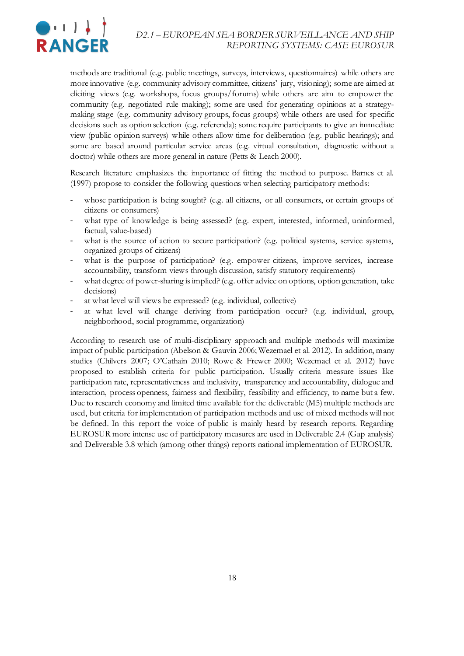

methods are traditional (e.g. public meetings, surveys, interviews, questionnaires) while others are more innovative (e.g. community advisory committee, citizens' jury, visioning); some are aimed at eliciting views (e.g. workshops, focus groups/forums) while others are aim to empower the community (e.g. negotiated rule making); some are used for generating opinions at a strategymaking stage (e.g. community advisory groups, focus groups) while others are used for specific decisions such as option selection (e.g. referenda); some require participants to give an immediate view (public opinion surveys) while others allow time for deliberation (e.g. public hearings); and some are based around particular service areas (e.g. virtual consultation, diagnostic without a doctor) while others are more general in nature (Petts & Leach 2000).

Research literature emphasizes the importance of fitting the method to purpose. Barnes et al. (1997) propose to consider the following questions when selecting participatory methods:

- whose participation is being sought? (e.g. all citizens, or all consumers, or certain groups of citizens or consumers)
- what type of knowledge is being assessed? (e.g. expert, interested, informed, uninformed, factual, value-based)
- what is the source of action to secure participation? (e.g. political systems, service systems, organized groups of citizens)
- what is the purpose of participation? (e.g. empower citizens, improve services, increase accountability, transform views through discussion, satisfy statutory requirements)
- what degree of power-sharing is implied? (e.g. offer advice on options, option generation, take decisions)
- at what level will views be expressed? (e.g. individual, collective)
- at what level will change deriving from participation occur? (e.g. individual, group, neighborhood, social programme, organization)

According to research use of multi-disciplinary approach and multiple methods will maximize impact of public participation (Abelson & Gauvin 2006; Wezemael et al. 2012). In addition, many studies (Chilvers 2007; O'Cathain 2010; Rowe & Frewer 2000; Wezemael et al. 2012) have proposed to establish criteria for public participation. Usually criteria measure issues like participation rate, representativeness and inclusivity, transparency and accountability, dialogue and interaction, process openness, fairness and flexibility, feasibility and efficiency, to name but a few. Due to research economy and limited time available for the deliverable (M5) multiple methods are used, but criteria for implementation of participation methods and use of mixed methods will not be defined. In this report the voice of public is mainly heard by research reports. Regarding EUROSUR more intense use of participatory measures are used in Deliverable 2.4 (Gap analysis) and Deliverable 3.8 which (among other things) reports national implementation of EUROSUR.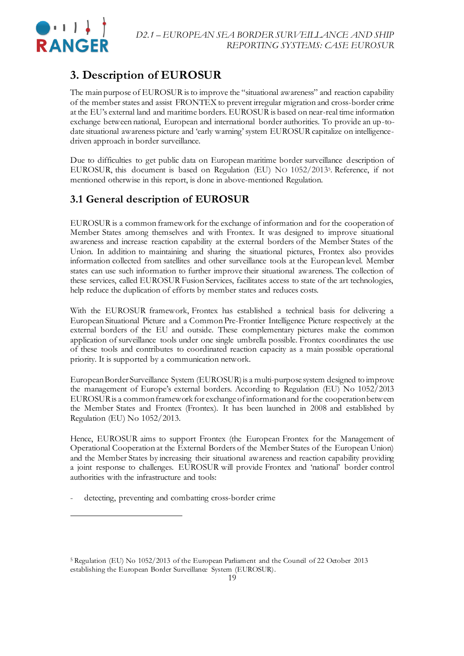

 $\overline{a}$ 

# <span id="page-18-0"></span>**3. Description of EUROSUR**

The main purpose of EUROSUR is to improve the "situational awareness" and reaction capability of the member states and assist FRONTEX to prevent irregular migration and cross-border crime at the EU's external land and maritime borders. EUROSUR is based on near-real time information exchange between national, European and international border authorities. To provide an up-todate situational awareness picture and 'early warning' system EUROSUR capitalize on intelligencedriven approach in border surveillance.

Due to difficulties to get public data on European maritime border surveillance description of EUROSUR, this document is based on Regulation (EU) NO 1052/20135. Reference, if not mentioned otherwise in this report, is done in above-mentioned Regulation.

### <span id="page-18-1"></span>**3.1 General description of EUROSUR**

EUROSUR is a common framework for the exchange of information and for the cooperation of Member States among themselves and with Frontex. It was designed to improve situational awareness and increase reaction capability at the external borders of the Member States of the Union. In addition to maintaining and sharing the situational pictures, Frontex also provides information collected from satellites and other surveillance tools at the European level. Member states can use such information to further improve their situational awareness. The collection of these services, called EUROSUR Fusion Services, facilitates access to state of the art technologies, help reduce the duplication of efforts by member states and reduces costs.

With the EUROSUR framework, Frontex has established a technical basis for delivering a European Situational Picture and a Common Pre-Frontier Intelligence Picture respectively at the external borders of the EU and outside. These complementary pictures make the common application of surveillance tools under one single umbrella possible. Frontex coordinates the use of these tools and contributes to coordinated reaction capacity as a main possible operational priority. It is supported by a communication network.

European Border Surveillance System (EUROSUR) is a multi-purpose system designed to improve the management of Europe's external borders. According to Regulation (EU) No 1052/2013 EUROSURis a common framework for exchangeof information and for the cooperation between the Member States and Frontex (Frontex). It has been launched in 2008 and established by Regulation (EU) No 1052/2013.

Hence, EUROSUR aims to support Frontex (the European Frontex for the Management of Operational Cooperation at the External Borders of the Member States of the European Union) and the Member States by increasing their situational awareness and reaction capability providing a joint response to challenges. EUROSUR will provide Frontex and 'national' border control authorities with the infrastructure and tools:

detecting, preventing and combatting cross-border crime

<sup>5</sup> Regulation (EU) No 1052/2013 of the European Parliament and the Council of 22 October 2013 establishing the European Border Surveillance System (EUROSUR).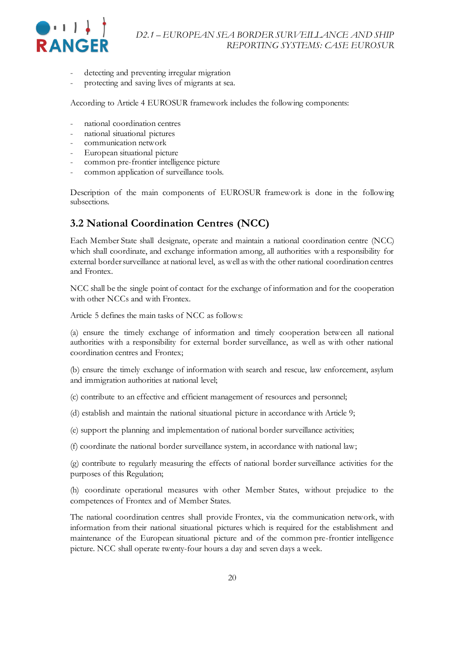

- detecting and preventing irregular migration
- protecting and saving lives of migrants at sea.

According to Article 4 EUROSUR framework includes the following components:

- national coordination centres
- national situational pictures
- communication network
- European situational picture
- common pre-frontier intelligence picture
- common application of surveillance tools.

Description of the main components of EUROSUR framework is done in the following subsections.

### <span id="page-19-0"></span>**3.2 National Coordination Centres (NCC)**

Each Member State shall designate, operate and maintain a national coordination centre (NCC) which shall coordinate, and exchange information among, all authorities with a responsibility for external border surveillance at national level, as well as with the other national coordination centres and Frontex.

NCC shall be the single point of contact for the exchange of information and for the cooperation with other NCCs and with Frontex.

Article 5 defines the main tasks of NCC as follows:

(a) ensure the timely exchange of information and timely cooperation between all national authorities with a responsibility for external border surveillance, as well as with other national coordination centres and Frontex;

(b) ensure the timely exchange of information with search and rescue, law enforcement, asylum and immigration authorities at national level;

(c) contribute to an effective and efficient management of resources and personnel;

(d) establish and maintain the national situational picture in accordance with Article 9;

(e) support the planning and implementation of national border surveillance activities;

(f) coordinate the national border surveillance system, in accordance with national law;

(g) contribute to regularly measuring the effects of national border surveillance activities for the purposes of this Regulation;

(h) coordinate operational measures with other Member States, without prejudice to the competences of Frontex and of Member States.

The national coordination centres shall provide Frontex, via the communication network, with information from their national situational pictures which is required for the establishment and maintenance of the European situational picture and of the common pre-frontier intelligence picture. NCC shall operate twenty-four hours a day and seven days a week.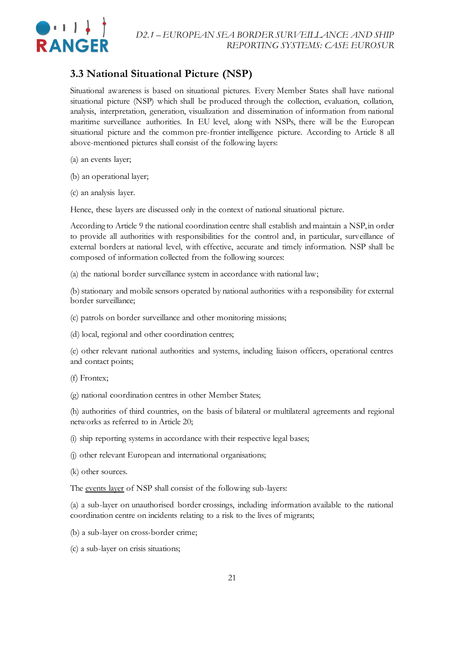



### <span id="page-20-0"></span>**3.3 National Situational Picture (NSP)**

Situational awareness is based on situational pictures. Every Member States shall have national situational picture (NSP) which shall be produced through the collection, evaluation, collation, analysis, interpretation, generation, visualization and dissemination of information from national maritime surveillance authorities. In EU level, along with NSPs, there will be the European situational picture and the common pre-frontier intelligence picture. According to Article 8 all above-mentioned pictures shall consist of the following layers:

- (a) an events layer;
- (b) an operational layer;
- (c) an analysis layer.

Hence, these layers are discussed only in the context of national situational picture.

According to Article 9 the national coordination centre shall establish and maintain a NSP, in order to provide all authorities with responsibilities for the control and, in particular, surveillance of external borders at national level, with effective, accurate and timely information. NSP shall be composed of information collected from the following sources:

(a) the national border surveillance system in accordance with national law;

(b) stationary and mobile sensors operated by national authorities with a responsibility for external border surveillance;

(c) patrols on border surveillance and other monitoring missions;

(d) local, regional and other coordination centres;

(e) other relevant national authorities and systems, including liaison officers, operational centres and contact points;

(f) Frontex;

(g) national coordination centres in other Member States;

(h) authorities of third countries, on the basis of bilateral or multilateral agreements and regional networks as referred to in Article 20;

(i) ship reporting systems in accordance with their respective legal bases;

(j) other relevant European and international organisations;

(k) other sources.

The events layer of NSP shall consist of the following sub-layers:

(a) a sub-layer on unauthorised border crossings, including information available to the national coordination centre on incidents relating to a risk to the lives of migrants;

(b) a sub-layer on cross-border crime;

(c) a sub-layer on crisis situations;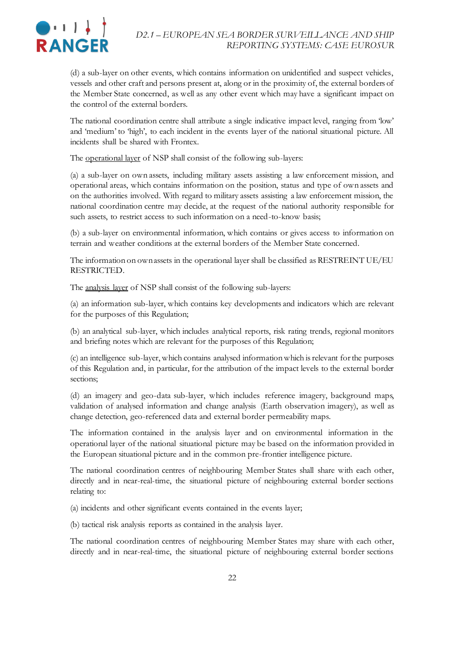# $\bigcirc$  : 1 |  $\biguparrow$   $\biguparrow$ **RANGER**

### *D2.1 – EUROPEAN SEA BORDER SURVEILLANCE AND SHIP REPORTING SYSTEMS: CASE EUROSUR*

(d) a sub-layer on other events, which contains information on unidentified and suspect vehicles, vessels and other craft and persons present at, along or in the proximity of, the external borders of the Member State concerned, as well as any other event which may have a significant impact on the control of the external borders.

The national coordination centre shall attribute a single indicative impact level, ranging from 'low' and 'medium' to 'high', to each incident in the events layer of the national situational picture. All incidents shall be shared with Frontex.

The operational layer of NSP shall consist of the following sub-layers:

(a) a sub-layer on own assets, including military assets assisting a law enforcement mission, and operational areas, which contains information on the position, status and type of own assets and on the authorities involved. With regard to military assets assisting a law enforcement mission, the national coordination centre may decide, at the request of the national authority responsible for such assets, to restrict access to such information on a need-to-know basis;

(b) a sub-layer on environmental information, which contains or gives access to information on terrain and weather conditions at the external borders of the Member State concerned.

The information on own assets in the operational layer shall be classified as RESTREINT UE/EU RESTRICTED.

The analysis layer of NSP shall consist of the following sub-layers:

(a) an information sub-layer, which contains key developments and indicators which are relevant for the purposes of this Regulation;

(b) an analytical sub-layer, which includes analytical reports, risk rating trends, regional monitors and briefing notes which are relevant for the purposes of this Regulation;

(c) an intelligence sub-layer, which contains analysed information which is relevant for the purposes of this Regulation and, in particular, for the attribution of the impact levels to the external border sections;

(d) an imagery and geo-data sub-layer, which includes reference imagery, background maps, validation of analysed information and change analysis (Earth observation imagery), as well as change detection, geo-referenced data and external border permeability maps.

The information contained in the analysis layer and on environmental information in the operational layer of the national situational picture may be based on the information provided in the European situational picture and in the common pre-frontier intelligence picture.

The national coordination centres of neighbouring Member States shall share with each other, directly and in near-real-time, the situational picture of neighbouring external border sections relating to:

(a) incidents and other significant events contained in the events layer;

(b) tactical risk analysis reports as contained in the analysis layer.

The national coordination centres of neighbouring Member States may share with each other, directly and in near-real-time, the situational picture of neighbouring external border sections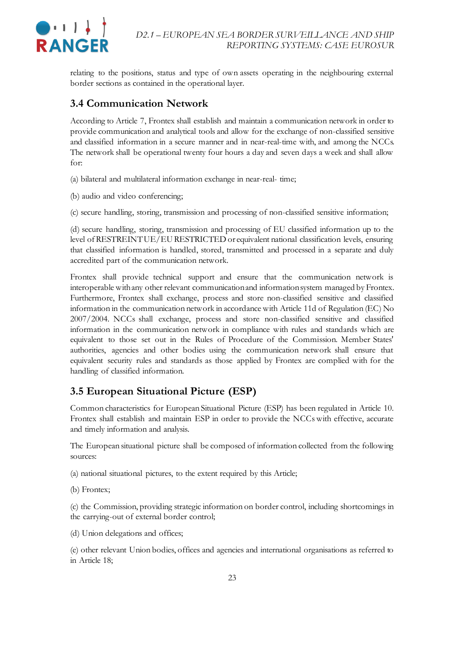

relating to the positions, status and type of own assets operating in the neighbouring external border sections as contained in the operational layer.

### <span id="page-22-0"></span>**3.4 Communication Network**

According to Article 7, Frontex shall establish and maintain a communication network in order to provide communication and analytical tools and allow for the exchange of non-classified sensitive and classified information in a secure manner and in near-real-time with, and among the NCCs. The network shall be operational twenty four hours a day and seven days a week and shall allow for:

(a) bilateral and multilateral information exchange in near-real- time;

(b) audio and video conferencing;

(c) secure handling, storing, transmission and processing of non-classified sensitive information;

(d) secure handling, storing, transmission and processing of EU classified information up to the level of RESTREINT UE/EU RESTRICTED or equivalent national classification levels, ensuring that classified information is handled, stored, transmitted and processed in a separate and duly accredited part of the communication network.

Frontex shall provide technical support and ensure that the communication network is interoperable with any other relevant communication and information system managed by Frontex. Furthermore, Frontex shall exchange, process and store non-classified sensitive and classified information in the communication network in accordance with Article 11d of Regulation (EC) No 2007/2004. NCCs shall exchange, process and store non-classified sensitive and classified information in the communication network in compliance with rules and standards which are equivalent to those set out in the Rules of Procedure of the Commission. Member States' authorities, agencies and other bodies using the communication network shall ensure that equivalent security rules and standards as those applied by Frontex are complied with for the handling of classified information.

### <span id="page-22-1"></span>**3.5 European Situational Picture (ESP)**

Common characteristics for European Situational Picture (ESP) has been regulated in Article 10. Frontex shall establish and maintain ESP in order to provide the NCCs with effective, accurate and timely information and analysis.

The European situational picture shall be composed of information collected from the following sources:

(a) national situational pictures, to the extent required by this Article;

(b) Frontex;

(c) the Commission, providing strategic information on border control, including shortcomings in the carrying-out of external border control;

(d) Union delegations and offices;

(e) other relevant Union bodies, offices and agencies and international organisations as referred to in Article 18;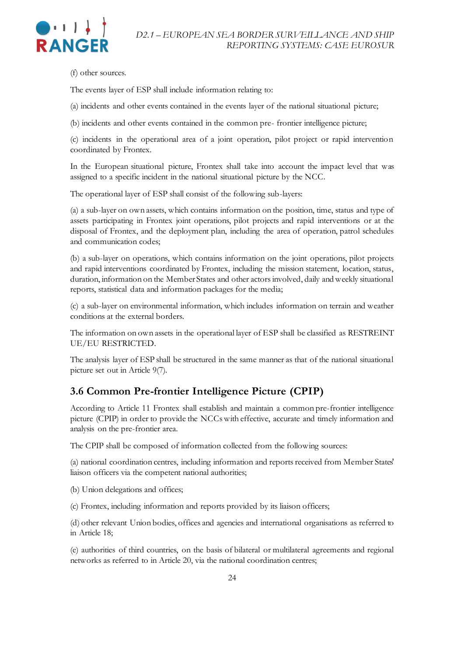

(f) other sources.

The events layer of ESP shall include information relating to:

(a) incidents and other events contained in the events layer of the national situational picture;

(b) incidents and other events contained in the common pre- frontier intelligence picture;

(c) incidents in the operational area of a joint operation, pilot project or rapid intervention coordinated by Frontex.

In the European situational picture, Frontex shall take into account the impact level that was assigned to a specific incident in the national situational picture by the NCC.

The operational layer of ESP shall consist of the following sub-layers:

(a) a sub-layer on own assets, which contains information on the position, time, status and type of assets participating in Frontex joint operations, pilot projects and rapid interventions or at the disposal of Frontex, and the deployment plan, including the area of operation, patrol schedules and communication codes;

(b) a sub-layer on operations, which contains information on the joint operations, pilot projects and rapid interventions coordinated by Frontex, including the mission statement, location, status, duration, information on the Member States and other actors involved, daily and weekly situational reports, statistical data and information packages for the media;

(c) a sub-layer on environmental information, which includes information on terrain and weather conditions at the external borders.

The information on own assets in the operational layer of ESP shall be classified as RESTREINT UE/EU RESTRICTED.

The analysis layer of ESP shall be structured in the same manner as that of the national situational picture set out in Article 9(7).

### <span id="page-23-0"></span>**3.6 Common Pre-frontier Intelligence Picture (CPIP)**

According to Article 11 Frontex shall establish and maintain a common pre-frontier intelligence picture (CPIP) in order to provide the NCCs with effective, accurate and timely information and analysis on the pre-frontier area.

The CPIP shall be composed of information collected from the following sources:

(a) national coordination centres, including information and reports received from Member States' liaison officers via the competent national authorities;

(b) Union delegations and offices;

(c) Frontex, including information and reports provided by its liaison officers;

(d) other relevant Union bodies, offices and agencies and international organisations as referred to in Article 18;

(e) authorities of third countries, on the basis of bilateral or multilateral agreements and regional networks as referred to in Article 20, via the national coordination centres;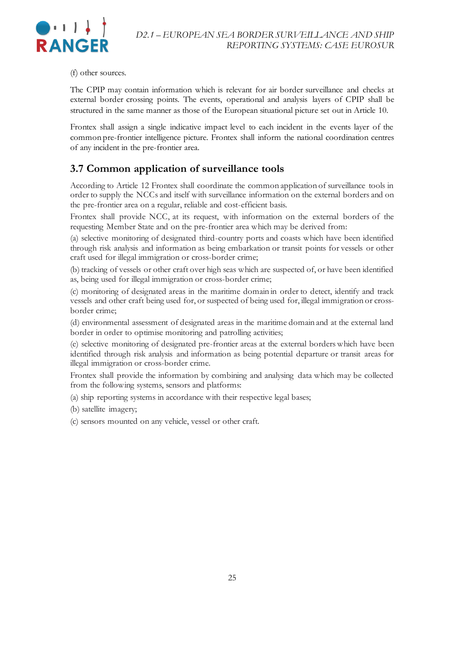

(f) other sources.

The CPIP may contain information which is relevant for air border surveillance and checks at external border crossing points. The events, operational and analysis layers of CPIP shall be structured in the same manner as those of the European situational picture set out in Article 10.

Frontex shall assign a single indicative impact level to each incident in the events layer of the common pre-frontier intelligence picture. Frontex shall inform the national coordination centres of any incident in the pre-frontier area.

### <span id="page-24-0"></span>**3.7 Common application of surveillance tools**

According to Article 12 Frontex shall coordinate the common application of surveillance tools in order to supply the NCCs and itself with surveillance information on the external borders and on the pre-frontier area on a regular, reliable and cost-efficient basis.

Frontex shall provide NCC, at its request, with information on the external borders of the requesting Member State and on the pre-frontier area which may be derived from:

(a) selective monitoring of designated third-country ports and coasts which have been identified through risk analysis and information as being embarkation or transit points for vessels or other craft used for illegal immigration or cross-border crime;

(b) tracking of vessels or other craft over high seas which are suspected of, or have been identified as, being used for illegal immigration or cross-border crime;

(c) monitoring of designated areas in the maritime domain in order to detect, identify and track vessels and other craft being used for, or suspected of being used for, illegal immigration or crossborder crime;

(d) environmental assessment of designated areas in the maritime domain and at the external land border in order to optimise monitoring and patrolling activities;

(e) selective monitoring of designated pre-frontier areas at the external borders which have been identified through risk analysis and information as being potential departure or transit areas for illegal immigration or cross-border crime.

Frontex shall provide the information by combining and analysing data which may be collected from the following systems, sensors and platforms:

(a) ship reporting systems in accordance with their respective legal bases;

(b) satellite imagery;

(c) sensors mounted on any vehicle, vessel or other craft.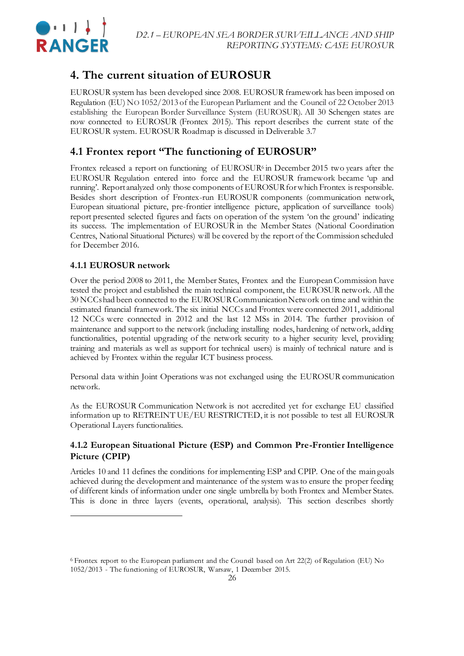

 $\overline{a}$ 

# <span id="page-25-0"></span>**4. The current situation of EUROSUR**

EUROSUR system has been developed since 2008. EUROSUR framework has been imposed on Regulation (EU) NO 1052/2013 of the European Parliament and the Council of 22 October 2013 establishing the European Border Surveillance System (EUROSUR). All 30 Schengen states are now connected to EUROSUR (Frontex 2015). This report describes the current state of the EUROSUR system. EUROSUR Roadmap is discussed in Deliverable 3.7

### <span id="page-25-1"></span>**4.1 Frontex report "The functioning of EUROSUR"**

Frontex released a report on functioning of EUROSUR<sup>6</sup> in December 2015 two years after the EUROSUR Regulation entered into force and the EUROSUR framework became 'up and running'. Report analyzed only those components of EUROSURfor which Frontex is responsible. Besides short description of Frontex-run EUROSUR components (communication network, European situational picture, pre-frontier intelligence picture, application of surveillance tools) report presented selected figures and facts on operation of the system 'on the ground' indicating its success. The implementation of EUROSUR in the Member States (National Coordination Centres, National Situational Pictures) will be covered by the report of the Commission scheduled for December 2016.

#### <span id="page-25-2"></span>**4.1.1 EUROSUR network**

Over the period 2008 to 2011, the Member States, Frontex and the European Commission have tested the project and established the main technical component, the EUROSUR network. All the 30 NCCs had been connected to the EUROSURCommunication Network on time and within the estimated financial framework. The six initial NCCs and Frontex were connected 2011, additional 12 NCCs were connected in 2012 and the last 12 MSs in 2014. The further provision of maintenance and support to the network (including installing nodes, hardening of network, adding functionalities, potential upgrading of the network security to a higher security level, providing training and materials as well as support for technical users) is mainly of technical nature and is achieved by Frontex within the regular ICT business process.

Personal data within Joint Operations was not exchanged using the EUROSUR communication network.

As the EUROSUR Communication Network is not accredited yet for exchange EU classified information up to RETREINT UE/EU RESTRICTED, it is not possible to test all EUROSUR Operational Layers functionalities.

#### <span id="page-25-3"></span>**4.1.2 European Situational Picture (ESP) and Common Pre-Frontier Intelligence Picture (CPIP)**

Articles 10 and 11 defines the conditions for implementing ESP and CPIP. One of the main goals achieved during the development and maintenance of the system was to ensure the proper feeding of different kinds of information under one single umbrella by both Frontex and Member States. This is done in three layers (events, operational, analysis). This section describes shortly

<sup>6</sup> Frontex report to the European parliament and the Council based on Art 22(2) of Regulation (EU) No 1052/2013 - The functioning of EUROSUR, Warsaw, 1 December 2015.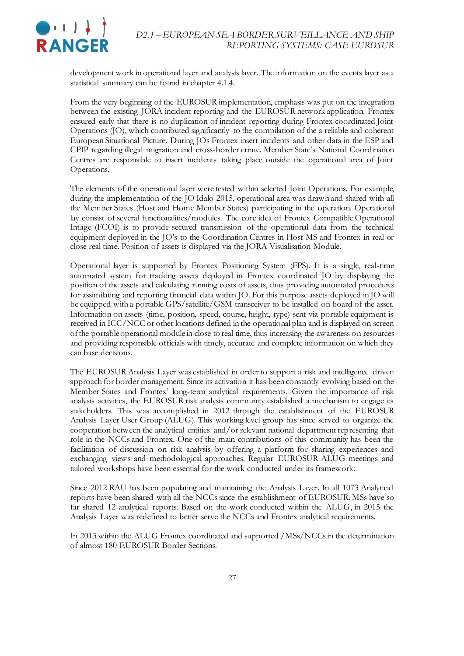

development work in operational layer and analysis layer. The information on the events layer as a statistical summary can be found in chapter 4.1.4.

From the very beginning of the EUROSUR implementation, emphasis was put on the integration between the existing JORA incident reporting and the EUROSUR network application. Frontex ensured early that there is no duplication of incident reporting during Frontex coordinated Joint Operations (JO), which contributed significantly to the compilation of the a reliable and coherent European Situational Picture. During JOs Frontex insert incidents and other data in the ESP and CPIP regarding illegal migration and cross-border crime. Member State's National Coordination Centres are responsible to insert incidents taking place outside the operational area of Joint Operations.

The elements of the operational layer were tested within selected Joint Operations. For example, during the implementation of the JO Idalo 2015, operational area was drawn and shared with all the Member States (Host and Home Member States) participating in the operation. Operational lay consist of several functionalities/modules. The core idea of Frontex Compatible Operational Image (FCOI) is to provide secured transmission of the operational data from the technical equipment deployed in the JO's to the Coordination Centres in Host MS and Frontex in real or close real time. Position of assets is displayed via the JORA Visualisation Module.

Operational layer is supported by Frontex Positioning System (FPS). It is a single, real-time automated system for tracking assets deployed in Frontex coordinated JO by displaying the position of the assets and calculating running costs of assets, thus providing automated procedures for assimilating and reporting financial data within JO. For this purpose assets deployed in JO will be equipped with a portable GPS/satellite/GSM transceiver to be installed on board of the asset. Information on assets (time, position, speed, course, height, type) sent via portable equipment is received in ICC/NCC or other locations defined in the operational plan and is displayed on screen of the portable operational module in close to real time, thus increasing the awareness on resources and providing responsible officials with timely, accurate and complete information on which they can base decisions.

The EUROSUR Analysis Layer was established in order to support a risk and intelligence driven approach for border management. Since its activation it has been constantly evolving based on the Member States and Frontex' long-term analytical requirements. Given the importance of risk analysis activities, the EUROSUR risk analysis community established a mechanism to engage its stakeholders. This was accomplished in 2012 through the establishment of the EUROSUR Analysis Layer User Group (ALUG). This working level group has since served to organize the cooperation between the analytical entities and/or relevant national department representing that role in the NCCs and Frontex. One of the main contributions of this community has been the facilitation of discussion on risk analysis by offering a platform for sharing experiences and exchanging views and methodological approaches. Regular EUROSUR ALUG meetings and tailored workshops have been essential for the work conducted under its framework.

Since 2012 RAU has been populating and maintaining the Analysis Layer. In all 1073 Analytical reports have been shared with all the NCCs since the establishment of EUROSUR. MSs have so far shared 12 analytical reports. Based on the work conducted within the ALUG, in 2015 the Analysis Layer was redefined to better serve the NCCs and Frontex analytical requirements.

In 2013 within the ALUG Frontex coordinated and supported /MSs/NCCs in the determination of almost 180 EUROSUR Border Sections.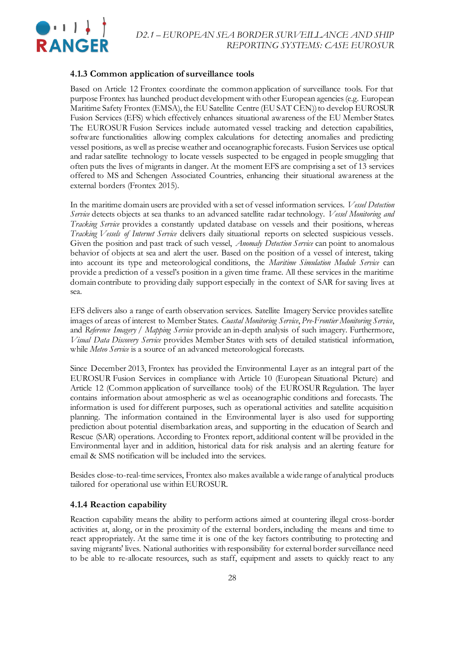

#### <span id="page-27-0"></span>**4.1.3 Common application of surveillance tools**

Based on Article 12 Frontex coordinate the common application of surveillance tools. For that purpose Frontex has launched product development with other European agencies (e.g. European Maritime Safety Frontex (EMSA), the EU Satellite Centre (EU SAT CEN)) to develop EUROSUR Fusion Services (EFS) which effectively enhances situational awareness of the EU Member States. The EUROSUR Fusion Services include automated vessel tracking and detection capabilities, software functionalities allowing complex calculations for detecting anomalies and predicting vessel positions, as well as precise weather and oceanographic forecasts. Fusion Services use optical and radar satellite technology to locate vessels suspected to be engaged in people smuggling that often puts the lives of migrants in danger. At the moment EFS are comprising a set of 13 services offered to MS and Schengen Associated Countries, enhancing their situational awareness at the external borders (Frontex 2015).

In the maritime domain users are provided with a set of vessel information services. *Vessel Detection Service* detects objects at sea thanks to an advanced satellite radar technology. *Vessel Monitoring and Tracking Service* provides a constantly updated database on vessels and their positions, whereas *Tracking Vessels of Internet Service* delivers daily situational reports on selected suspicious vessels. Given the position and past track of such vessel, *Anomaly Detection Service* can point to anomalous behavior of objects at sea and alert the user. Based on the position of a vessel of interest, taking into account its type and meteorological conditions, the *Maritime Simulation Module Service* can provide a prediction of a vessel's position in a given time frame. All these services in the maritime domain contribute to providing daily support especially in the context of SAR for saving lives at sea.

EFS delivers also a range of earth observation services. Satellite Imagery Service provides satellite images of areas of interest to Member States. *Coastal Monitoring Service*, *Pre-Frontier Monitoring Service*, and *Reference Imagery / Mapping Service* provide an in-depth analysis of such imagery. Furthermore, *Visual Data Discovery Service* provides Member States with sets of detailed statistical information, while *Meteo Service* is a source of an advanced meteorological forecasts.

Since December 2013, Frontex has provided the Environmental Layer as an integral part of the EUROSUR Fusion Services in compliance with Article 10 (European Situational Picture) and Article 12 (Common application of surveillance tools) of the EUROSUR Regulation. The layer contains information about atmospheric as wel as oceanographic conditions and forecasts. The information is used for different purposes, such as operational activities and satellite acquisition planning. The information contained in the Environmental layer is also used for supporting prediction about potential disembarkation areas, and supporting in the education of Search and Rescue (SAR) operations. According to Frontex report, additional content will be provided in the Environmental layer and in addition, historical data for risk analysis and an alerting feature for email & SMS notification will be included into the services.

Besides close-to-real-time services, Frontex also makes available a wide range of analytical products tailored for operational use within EUROSUR.

#### <span id="page-27-1"></span>**4.1.4 Reaction capability**

Reaction capability means the ability to perform actions aimed at countering illegal cross-border activities at, along, or in the proximity of the external borders, including the means and time to react appropriately. At the same time it is one of the key factors contributing to protecting and saving migrants' lives. National authorities with responsibility for external border surveillance need to be able to re-allocate resources, such as staff, equipment and assets to quickly react to any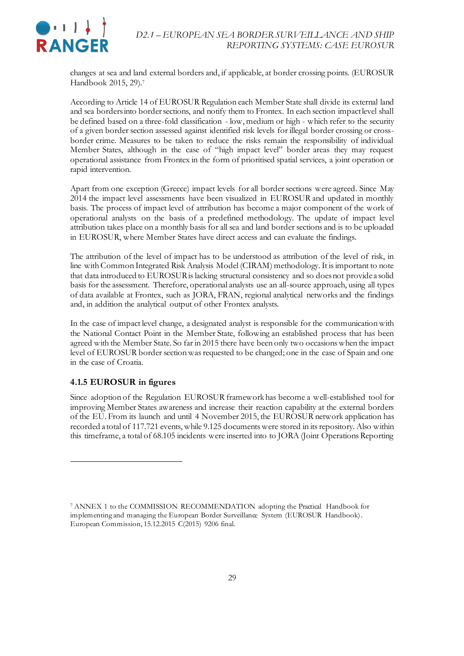

changes at sea and land external borders and, if applicable, at border crossing points. (EUROSUR Handbook 2015, 29).<sup>7</sup>

According to Article 14 of EUROSUR Regulation each Member State shall divide its external land and sea borders into border sections, and notify them to Frontex. In each section impact level shall be defined based on a three-fold classification - low, medium or high - which refer to the security of a given border section assessed against identified risk levels for illegal border crossing or crossborder crime. Measures to be taken to reduce the risks remain the responsibility of individual Member States, although in the case of "high impact level" border areas they may request operational assistance from Frontex in the form of prioritised spatial services, a joint operation or rapid intervention.

Apart from one exception (Greece) impact levels for all border sections were agreed. Since May 2014 the impact level assessments have been visualized in EUROSUR and updated in monthly basis. The process of impact level of attribution has become a major component of the work of operational analysts on the basis of a predefined methodology. The update of impact level attribution takes place on a monthly basis for all sea and land border sections and is to be uploaded in EUROSUR, where Member States have direct access and can evaluate the findings.

The attribution of the level of impact has to be understood as attribution of the level of risk, in line with Common Integrated Risk Analysis Model (CIRAM) methodology. It is important to note that data introduced to EUROSURis lacking structural consistency and so does not provide a solid basis for the assessment. Therefore, operational analysts use an all-source approach, using all types of data available at Frontex, such as JORA, FRAN, regional analytical networks and the findings and, in addition the analytical output of other Frontex analysts.

In the case of impact level change, a designated analyst is responsible for the communication with the National Contact Point in the Member State, following an established process that has been agreed with the Member State. So far in 2015 there have been only two occasions when the impact level of EUROSUR border section was requested to be changed; one in the case of Spain and one in the case of Croatia.

#### <span id="page-28-0"></span>**4.1.5 EUROSUR in figures**

 $\overline{a}$ 

Since adoption of the Regulation EUROSUR framework has become a well-established tool for improving Member States awareness and increase their reaction capability at the external borders of the EU. From its launch and until 4 November 2015, the EUROSUR network application has recorded a total of 117.721 events, while 9.125 documents were stored in its repository. Also within this timeframe, a total of 68.105 incidents were inserted into to JORA (Joint Operations Reporting

<sup>7</sup> ANNEX 1 to the COMMISSION RECOMMENDATION adopting the Practical Handbook for implementing and managing the European Border Surveillance System (EUROSUR Handbook). European Commission, 15.12.2015 C(2015) 9206 final.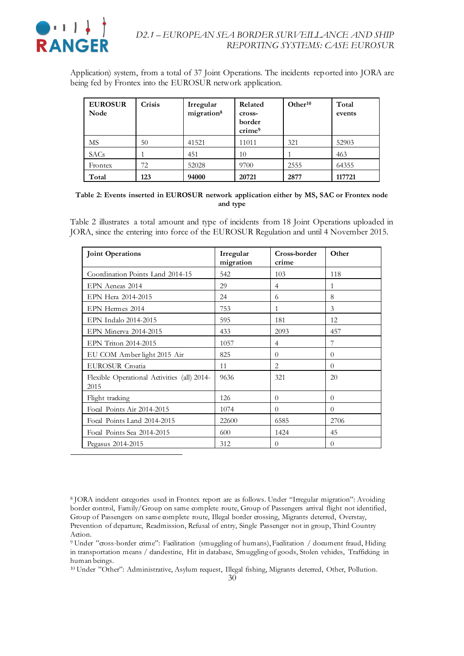

 $\overline{a}$ 

Application) system, from a total of 37 Joint Operations. The incidents reported into JORA are being fed by Frontex into the EUROSUR network application.

| <b>EUROSUR</b><br><b>Node</b> | Crisis | Irregular<br>migration <sup>8</sup> | Related<br>cross-<br>border<br>crime <sup>9</sup> | Other <sup>10</sup> | Total<br>events |
|-------------------------------|--------|-------------------------------------|---------------------------------------------------|---------------------|-----------------|
| <b>MS</b>                     | 50     | 41521                               | 11011                                             | 321                 | 52903           |
| SACs                          |        | 451                                 | 10                                                |                     | 463             |
| Frontex                       | 72     | 52028                               | 9700                                              | 2555                | 64355           |
| Total                         | 123    | 94000                               | 20721                                             | 2877                | 117721          |

#### **Table 2: Events inserted in EUROSUR network application either by MS, SAC or Frontex node and type**

Table 2 illustrates a total amount and type of incidents from 18 Joint Operations uploaded in JORA, since the entering into force of the EUROSUR Regulation and until 4 November 2015.

| <b>Joint Operations</b>                             | Irregular<br>migration | Cross-border<br>crime | Other    |
|-----------------------------------------------------|------------------------|-----------------------|----------|
| Coordination Points Land 2014-15                    | 542                    | 103                   | 118      |
| EPN Aeneas 2014                                     | 29                     | $\overline{4}$        | 1        |
| EPN Hera 2014-2015                                  | 24                     | 6                     | 8        |
| EPN Hermes 2014                                     | 753                    | 1                     | 3        |
| EPN Indalo 2014-2015                                | 595                    | 181                   | 12       |
| EPN Minerva 2014-2015                               | 433                    | 2093                  | 457      |
| EPN Triton 2014-2015                                | 1057                   | 4                     | 7        |
| EU COM Amber light 2015 Air                         | 825                    | $\Omega$              | $\Omega$ |
| <b>EUROSUR</b> Croatia                              | 11                     | $\overline{2}$        | $\Omega$ |
| Flexible Operational Activities (all) 2014-<br>2015 | 9636                   | 321                   | 20       |
| Flight tracking                                     | 126                    | $\Omega$              | $\Omega$ |
| Focal Points Air 2014-2015                          | 1074                   | $\Omega$              | $\Omega$ |
| Focal Points Land 2014-2015                         | 22600                  | 6585                  | 2706     |
| Focal Points Sea 2014-2015                          | 600                    | 1424                  | 45       |
| Pegasus 2014-2015                                   | 312                    | $\theta$              | $\theta$ |

<sup>10</sup> Under "Other": Administrative, Asylum request, Illegal fishing, Migrants deterred, Other, Pollution.

<sup>8</sup> JORA incident categories used in Frontex report are as follows. Under "Irregular migration": Avoiding border control, Family/Group on same complete route, Group of Passengers arrival flight not identified, Group of Passengers on same complete route, Illegal border crossing, Migrants deterred, Overstay, Prevention of departure, Readmission, Refusal of entry, Single Passenger not in group, Third Country Action.

<sup>9</sup> Under "cross-border crime": Facilitation (smuggling of humans), Facilitation / document fraud, Hiding in transportation means / dandestine, Hit in database, Smuggling of goods, Stolen vehides, Trafficking in human beings.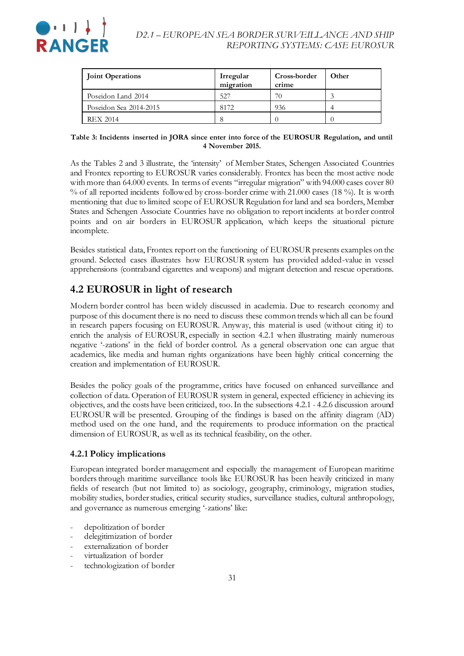

| <b>Joint Operations</b> | Irregular<br>migration | Cross-border<br>crime | Other |
|-------------------------|------------------------|-----------------------|-------|
| Poseidon Land 2014      | 527                    | 70                    |       |
| Poseidon Sea 2014-2015  | 8172                   | 936                   |       |
| <b>REX 2014</b>         |                        |                       |       |

#### **Table 3: Incidents inserted in JORA since enter into force of the EUROSUR Regulation, and until 4 November 2015.**

As the Tables 2 and 3 illustrate, the 'intensity' of Member States, Schengen Associated Countries and Frontex reporting to EUROSUR varies considerably. Frontex has been the most active node with more than 64.000 events. In terms of events "irregular migration" with 94.000 cases cover 80 % of all reported incidents followed by cross-border crime with 21.000 cases (18 %). It is worth mentioning that due to limited scope of EUROSUR Regulation for land and sea borders, Member States and Schengen Associate Countries have no obligation to report incidents at border control points and on air borders in EUROSUR application, which keeps the situational picture incomplete.

Besides statistical data, Frontex report on the functioning of EUROSUR presents examples on the ground. Selected cases illustrates how EUROSUR system has provided added-value in vessel apprehensions (contraband cigarettes and weapons) and migrant detection and rescue operations.

### <span id="page-30-0"></span>**4.2 EUROSUR in light of research**

Modern border control has been widely discussed in academia. Due to research economy and purpose of this document there is no need to discuss these common trends which all can be found in research papers focusing on EUROSUR. Anyway, this material is used (without citing it) to enrich the analysis of EUROSUR, especially in section 4.2.1 when illustrating mainly numerous negative '-zations' in the field of border control. As a general observation one can argue that academics, like media and human rights organizations have been highly critical concerning the creation and implementation of EUROSUR.

Besides the policy goals of the programme, critics have focused on enhanced surveillance and collection of data. Operation of EUROSUR system in general, expected efficiency in achieving its objectives, and the costs have been criticized, too. In the subsections 4.2.1 - 4.2.6 discussion around EUROSUR will be presented. Grouping of the findings is based on the affinity diagram (AD) method used on the one hand, and the requirements to produce information on the practical dimension of EUROSUR, as well as its technical feasibility, on the other.

#### <span id="page-30-1"></span>**4.2.1 Policy implications**

European integrated border management and especially the management of European maritime borders through maritime surveillance tools like EUROSUR has been heavily criticized in many fields of research (but not limited to) as sociology, geography, criminology, migration studies, mobility studies, border studies, critical security studies, surveillance studies, cultural anthropology, and governance as numerous emerging '-zations' like:

- depolitization of border
- delegitimization of border
- externalization of border
- virtualization of border
- technologization of border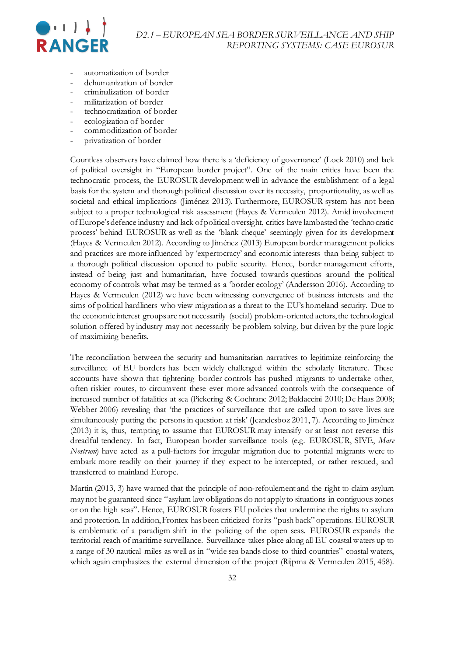

- automatization of border
- dehumanization of border
- criminalization of border
- militarization of border
- technocratization of border
- ecologization of border
- commoditization of border
- privatization of border

Countless observers have claimed how there is a 'deficiency of governance' (Lock 2010) and lack of political oversight in "European border project". One of the main critics have been the technocratic process, the EUROSUR development well in advance the establishment of a legal basis for the system and thorough political discussion over its necessity, proportionality, as well as societal and ethical implications (Jiménez 2013). Furthermore, EUROSUR system has not been subject to a proper technological risk assessment (Hayes & Vermeulen 2012). Amid involvement of Europe's defence industry and lack of political oversight, critics have lambasted the 'technocratic process' behind EUROSUR as well as the 'blank cheque' seemingly given for its development (Hayes & Vermeulen 2012). According to Jiménez (2013) European border management policies and practices are more influenced by 'expertocracy' and economic interests than being subject to a thorough political discussion opened to public security. Hence, border management efforts, instead of being just and humanitarian, have focused towards questions around the political economy of controls what may be termed as a 'border ecology' (Andersson 2016). According to Hayes & Vermeulen (2012) we have been witnessing convergence of business interests and the aims of political hardliners who view migration as a threat to the EU's homeland security. Due to the economic interest groups are not necessarily (social) problem-oriented actors, the technological solution offered by industry may not necessarily be problem solving, but driven by the pure logic of maximizing benefits.

The reconciliation between the security and humanitarian narratives to legitimize reinforcing the surveillance of EU borders has been widely challenged within the scholarly literature. These accounts have shown that tightening border controls has pushed migrants to undertake other, often riskier routes, to circumvent these ever more advanced controls with the consequence of increased number of fatalities at sea (Pickering & Cochrane 2012; Baldaccini 2010; De Haas 2008; Webber 2006) revealing that 'the practices of surveillance that are called upon to save lives are simultaneously putting the persons in question at risk' (Jeandesboz 2011, 7). According to Jiménez (2013) it is, thus, tempting to assume that EUROSUR may intensify or at least not reverse this dreadful tendency. In fact, European border surveillance tools (e.g. EUROSUR, SIVE, *Mare Nostrum*) have acted as a pull-factors for irregular migration due to potential migrants were to embark more readily on their journey if they expect to be intercepted, or rather rescued, and transferred to mainland Europe.

Martin (2013, 3) have warned that the principle of non-refoulement and the right to claim asylum may not be guaranteed since "asylum law obligations do not apply to situations in contiguous zones or on the high seas". Hence, EUROSUR fosters EU policies that undermine the rights to asylum and protection. In addition, Frontex has been criticized for its "push back" operations. EUROSUR is emblematic of a paradigm shift in the policing of the open seas. EUROSUR expands the territorial reach of maritime surveillance. Surveillance takes place along all EU coastal waters up to a range of 30 nautical miles as well as in "wide sea bands close to third countries" coastal waters, which again emphasizes the external dimension of the project (Rijpma & Vermeulen 2015, 458).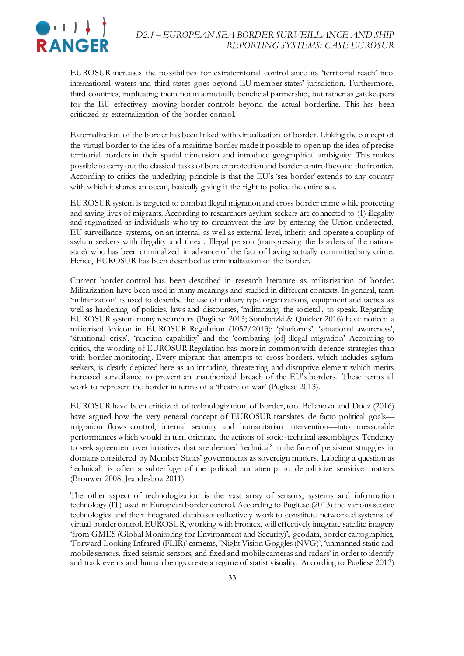

EUROSUR increases the possibilities for extraterritorial control since its 'territorial reach' into international waters and third states goes beyond EU member states' jurisdiction. Furthermore, third countries, implicating them not in a mutually beneficial partnership, but rather as gatekeepers for the EU effectively moving border controls beyond the actual borderline. This has been criticized as externalization of the border control.

Externalization of the border has been linked with virtualization of border. Linking the concept of the virtual border to the idea of a maritime border made it possible to open up the idea of precise territorial borders in their spatial dimension and introduce geographical ambiguity. This makes possible to carry out the classical tasks of border protection and border control beyond the frontier. According to critics the underlying principle is that the EU's 'sea border' extends to any country with which it shares an ocean, basically giving it the right to police the entire sea.

EUROSUR system is targeted to combat illegal migration and cross border crime while protecting and saving lives of migrants. According to researchers asylum seekers are connected to (1) illegality and stigmatized as individuals who try to circumvent the law by entering the Union undetected. EU surveillance systems, on an internal as well as external level, inherit and operate a coupling of asylum seekers with illegality and threat. Illegal person (transgressing the borders of the nationstate) who has been criminalized in advance of the fact of having actually committed any crime. Hence, EUROSUR has been described as criminalization of the border.

Current border control has been described in research literature as militarization of border. Militarization have been used in many meanings and studied in different contexts. In general, term 'militarization' is used to describe the use of military type organizations, equipment and tactics as well as hardening of policies, laws and discourses, 'militarizing the societal', to speak. Regarding EUROSUR system many researchers (Pugliese 2013; Sombetzki & Quicker 2016) have noticed a militarised lexicon in EUROSUR Regulation (1052/2013): 'platforms', 'situational awareness', 'situational crisis', 'reaction capability' and the 'combating [of] illegal migration' According to critics, the wording of EUROSUR Regulation has more in common with defence strategies than with border monitoring. Every migrant that attempts to cross borders, which includes asylum seekers, is clearly depicted here as an intruding, threatening and disruptive element which merits increased surveillance to prevent an unauthorized breach of the EU's borders. These terms all work to represent the border in terms of a 'theatre of war' (Pugliese 2013).

EUROSUR have been criticized of technologization of border, too. Bellanova and Duez (2016) have argued how the very general concept of EUROSUR translates de facto political goals migration flows control, internal security and humanitarian intervention—into measurable performances which would in turn orientate the actions of socio-technical assemblages. Tendency to seek agreement over initiatives that are deemed 'technical' in the face of persistent struggles in domains considered by Member States' governments as sovereign matters. Labeling a question as 'technical' is often a subterfuge of the political; an attempt to depoliticize sensitive matters (Brouwer 2008; Jeandesboz 2011).

The other aspect of technologization is the vast array of sensors, systems and information technology (IT) used in European border control. According to Pugliese (2013) the various scopic technologies and their integrated databases collectively work to constitute networked systems of virtual border control. EUROSUR, working with Frontex, will effectively integrate satellite imagery 'from GMES (Global Monitoring for Environment and Security)', geodata, border cartographies, 'Forward Looking Infrared (FLIR)' cameras, 'Night Vision Goggles (NVG)', 'unmanned static and mobile sensors, fixed seismic sensors, and fixed and mobile cameras and radars' in order to identify and track events and human beings create a regime of statist visuality. According to Pugliese 2013)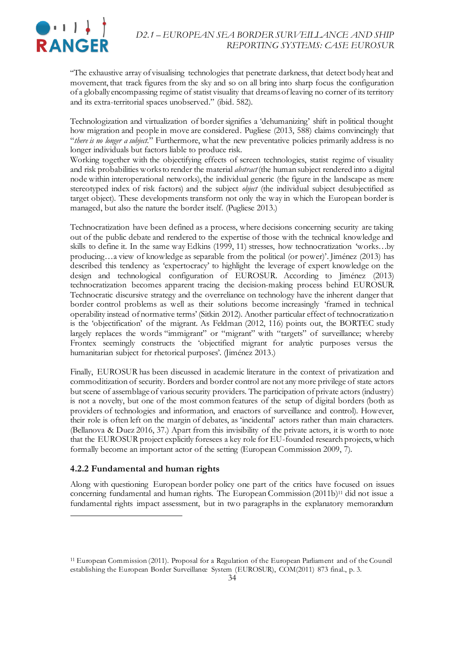

"The exhaustive array of visualising technologies that penetrate darkness, that detect body heat and movement, that track figures from the sky and so on all bring into sharp focus the configuration of a globally encompassing regime of statist visuality that dreams of leaving no corner of its territory and its extra-territorial spaces unobserved." (ibid. 582).

Technologization and virtualization of border signifies a 'dehumanizing' shift in political thought how migration and people in move are considered. Pugliese (2013, 588) claims convincingly that "*there is no longer a subject.*" Furthermore, what the new preventative policies primarily address is no longer individuals but factors liable to produce risk.

Working together with the objectifying effects of screen technologies, statist regime of visuality and risk probabilities works to render the material *abstract* (the human subject rendered into a digital node within interoperational networks), the individual generic (the figure in the landscape as mere stereotyped index of risk factors) and the subject *object* (the individual subject desubjectified as target object). These developments transform not only the way in which the European border is managed, but also the nature the border itself. (Pugliese 2013.)

Technocratization have been defined as a process, where decisions concerning security are taking out of the public debate and rendered to the expertise of those with the technical knowledge and skills to define it. In the same way Edkins (1999, 11) stresses, how technocratization 'works…by producing…a view of knowledge as separable from the political (or power)'. Jiménez (2013) has described this tendency as 'expertocracy' to highlight the leverage of expert knowledge on the design and technological configuration of EUROSUR. According to Jiménez (2013) technocratization becomes apparent tracing the decision-making process behind EUROSUR. Technocratic discursive strategy and the overreliance on technology have the inherent danger that border control problems as well as their solutions become increasingly 'framed in technical operability instead of normative terms' (Sitkin 2012). Another particular effect of technocratization is the 'objectification' of the migrant. As Feldman (2012, 116) points out, the BORTEC study largely replaces the words "immigrant" or "migrant" with "targets" of surveillance; whereby Frontex seemingly constructs the 'objectified migrant for analytic purposes versus the humanitarian subject for rhetorical purposes'. (Jiménez 2013.)

Finally, EUROSUR has been discussed in academic literature in the context of privatization and commoditization of security. Borders and border control are not any more privilege of state actors but scene of assemblage of various security providers. The participation of private actors (industry) is not a novelty, but one of the most common features of the setup of digital borders (both as providers of technologies and information, and enactors of surveillance and control). However, their role is often left on the margin of debates, as 'incidental' actors rather than main characters. (Bellanova & Duez 2016, 37.) Apart from this invisibility of the private actors, it is worth to note that the EUROSUR project explicitly foresees a key role for EU-founded research projects, which formally become an important actor of the setting (European Commission 2009, 7).

#### <span id="page-33-0"></span>**4.2.2 Fundamental and human rights**

 $\overline{a}$ 

Along with questioning European border policy one part of the critics have focused on issues concerning fundamental and human rights. The European Commission (2011b)<sup>11</sup> did not issue a fundamental rights impact assessment, but in two paragraphs in the explanatory memorandum

<sup>11</sup> European Commission (2011). Proposal for a Regulation of the European Parliament and of the Council establishing the European Border Surveillance System (EUROSUR), COM(2011) 873 final., p. 3.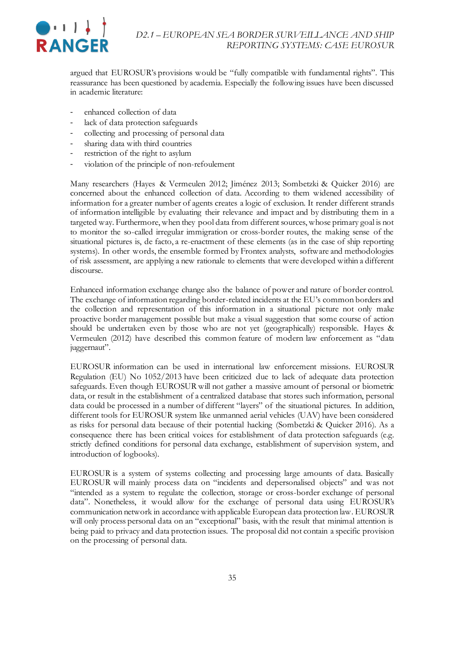

argued that EUROSUR's provisions would be "fully compatible with fundamental rights". This reassurance has been questioned by academia. Especially the following issues have been discussed in academic literature:

- enhanced collection of data
- lack of data protection safeguards
- collecting and processing of personal data
- sharing data with third countries
- restriction of the right to asylum
- violation of the principle of non-refoulement

Many researchers (Hayes & Vermeulen 2012; Jiménez 2013; Sombetzki & Quicker 2016) are concerned about the enhanced collection of data. According to them widened accessibility of information for a greater number of agents creates a logic of exclusion. It render different strands of information intelligible by evaluating their relevance and impact and by distributing them in a targeted way. Furthermore, when they pool data from different sources, whose primary goal is not to monitor the so-called irregular immigration or cross-border routes, the making sense of the situational pictures is, de facto, a re-enactment of these elements (as in the case of ship reporting systems). In other words, the ensemble formed by Frontex analysts, software and methodologies of risk assessment, are applying a new rationale to elements that were developed within a different discourse.

Enhanced information exchange change also the balance of power and nature of border control. The exchange of information regarding border-related incidents at the EU's common borders and the collection and representation of this information in a situational picture not only make proactive border management possible but make a visual suggestion that some course of action should be undertaken even by those who are not yet (geographically) responsible. Hayes & Vermeulen (2012) have described this common feature of modern law enforcement as "data juggernaut".

EUROSUR information can be used in international law enforcement missions. EUROSUR Regulation (EU) No 1052/2013 have been criticized due to lack of adequate data protection safeguards. Even though EUROSUR will not gather a massive amount of personal or biometric data, or result in the establishment of a centralized database that stores such information, personal data could be processed in a number of different "layers" of the situational pictures. In addition, different tools for EUROSUR system like unmanned aerial vehicles (UAV) have been considered as risks for personal data because of their potential hacking (Sombetzki & Quicker 2016). As a consequence there has been critical voices for establishment of data protection safeguards (e.g. strictly defined conditions for personal data exchange, establishment of supervision system, and introduction of logbooks).

EUROSUR is a system of systems collecting and processing large amounts of data. Basically EUROSUR will mainly process data on "incidents and depersonalised objects" and was not "intended as a system to regulate the collection, storage or cross-border exchange of personal data". Nonetheless, it would allow for the exchange of personal data using EUROSUR's communication network in accordance with applicable European data protection law. EUROSUR will only process personal data on an "exceptional" basis, with the result that minimal attention is being paid to privacy and data protection issues. The proposal did not contain a specific provision on the processing of personal data.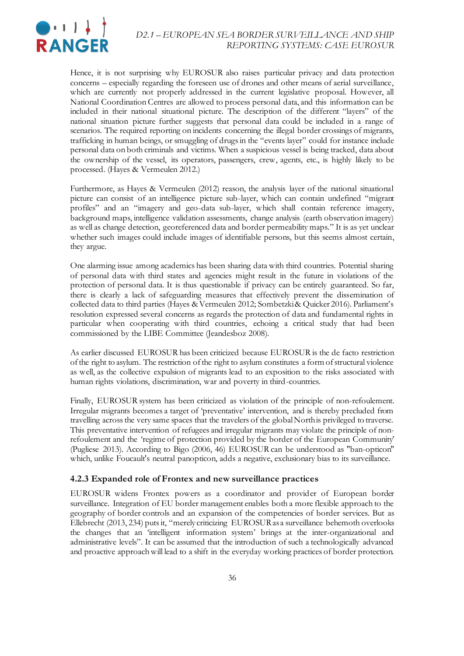

Hence, it is not surprising why EUROSUR also raises particular privacy and data protection concerns – especially regarding the foreseen use of drones and other means of aerial surveillance, which are currently not properly addressed in the current legislative proposal. However, all National Coordination Centres are allowed to process personal data, and this information can be included in their national situational picture. The description of the different "layers" of the national situation picture further suggests that personal data could be included in a range of scenarios. The required reporting on incidents concerning the illegal border crossings of migrants, trafficking in human beings, or smuggling of drugs in the "events layer" could for instance include personal data on both criminals and victims. When a suspicious vessel is being tracked, data about the ownership of the vessel, its operators, passengers, crew, agents, etc., is highly likely to be processed. (Hayes & Vermeulen 2012.)

Furthermore, as Hayes & Vermeulen (2012) reason, the analysis layer of the national situational picture can consist of an intelligence picture sub-layer, which can contain undefined "migrant profiles" and an "imagery and geo-data sub-layer, which shall contain reference imagery, background maps, intelligence validation assessments, change analysis (earth observation imagery) as well as change detection, georeferenced data and border permeability maps." It is as yet unclear whether such images could include images of identifiable persons, but this seems almost certain, they argue.

One alarming issue among academics has been sharing data with third countries. Potential sharing of personal data with third states and agencies might result in the future in violations of the protection of personal data. It is thus questionable if privacy can be entirely guaranteed. So far, there is clearly a lack of safeguarding measures that effectively prevent the dissemination of collected data to third parties (Hayes & Vermeulen 2012; Sombetzki & Quicker 2016). Parliament's resolution expressed several concerns as regards the protection of data and fundamental rights in particular when cooperating with third countries, echoing a critical study that had been commissioned by the LIBE Committee (Jeandesboz 2008).

As earlier discussed EUROSUR has been criticized because EUROSUR is the de facto restriction of the right to asylum. The restriction of the right to asylum constitutes a form of structural violence as well, as the collective expulsion of migrants lead to an exposition to the risks associated with human rights violations, discrimination, war and poverty in third-countries.

Finally, EUROSUR system has been criticized as violation of the principle of non-refoulement. Irregular migrants becomes a target of 'preventative' intervention, and is thereby precluded from travelling across the very same spaces that the travelers of the global North is privileged to traverse. This preventative intervention of refugees and irregular migrants may violate the principle of nonrefoulement and the 'regime of protection provided by the border of the European Community' (Pugliese 2013). According to Bigo (2006, 46) EUROSUR can be understood as "ban-opticon" which, unlike Foucault's neutral panopticon, adds a negative, exclusionary bias to its surveillance.

#### <span id="page-35-0"></span>**4.2.3 Expanded role of Frontex and new surveillance practices**

EUROSUR widens Frontex powers as a coordinator and provider of European border surveillance. Integration of EU border management enables both a more flexible approach to the geography of border controls and an expansion of the competencies of border services. But as Ellebrecht (2013, 234) puts it, "merely criticizing EUROSURas a surveillance behemoth overlooks the changes that an 'intelligent information system' brings at the inter-organizational and administrative levels". It can be assumed that the introduction of such a technologically advanced and proactive approach will lead to a shift in the everyday working practices of border protection.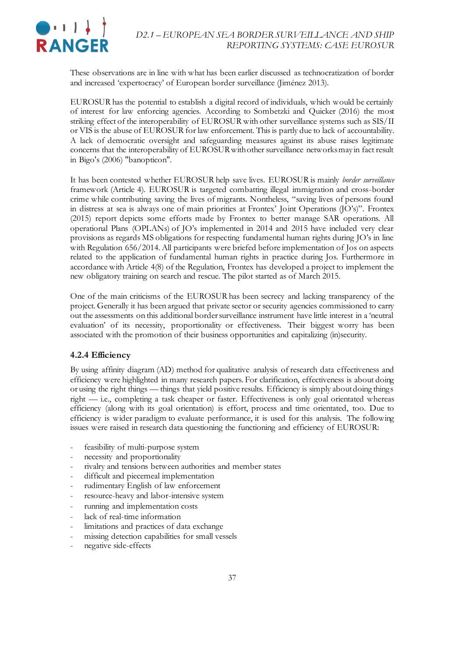

These observations are in line with what has been earlier discussed as technocratization of border and increased 'expertocracy' of European border surveillance (Jiménez 2013).

EUROSUR has the potential to establish a digital record of individuals, which would be certainly of interest for law enforcing agencies. According to Sombetzki and Quicker (2016) the most striking effect of the interoperability of EUROSUR with other surveillance systems such as SIS/II or VIS is the abuse of EUROSUR for law enforcement. This is partly due to lack of accountability. A lack of democratic oversight and safeguarding measures against its abuse raises legitimate concerns that the interoperability of EUROSURwith other surveillance networks may in fact result in Bigo's (2006) "banopticon".

It has been contested whether EUROSUR help save lives. EUROSUR is mainly *border surveillance* framework (Article 4). EUROSUR is targeted combatting illegal immigration and cross-border crime while contributing saving the lives of migrants. Nontheless, "saving lives of persons found in distress at sea is always one of main priorities at Frontex' Joint Operations (JO's)". Frontex (2015) report depicts some efforts made by Frontex to better manage SAR operations. All operational Plans (OPLANs) of JO's implemented in 2014 and 2015 have included very clear provisions as regards MS obligations for respecting fundamental human rights during JO's in line with Regulation 656/2014. All participants were briefed before implementation of Jos on aspects related to the application of fundamental human rights in practice during Jos. Furthermore in accordance with Article 4(8) of the Regulation, Frontex has developed a project to implement the new obligatory training on search and rescue. The pilot started as of March 2015.

One of the main criticisms of the EUROSUR has been secrecy and lacking transparency of the project. Generally it has been argued that private sector or security agencies commissioned to carry out the assessments on this additional border surveillance instrument have little interest in a 'neutral evaluation' of its necessity, proportionality or effectiveness. Their biggest worry has been associated with the promotion of their business opportunities and capitalizing (in)security.

#### <span id="page-36-0"></span>**4.2.4 Efficiency**

By using affinity diagram (AD) method for qualitative analysis of research data effectiveness and efficiency were highlighted in many research papers. For clarification, effectiveness is about doing or using the right things — things that yield positive results. Efficiency is simply about doing things right — i.e., completing a task cheaper or faster. Effectiveness is only goal orientated whereas efficiency (along with its goal orientation) is effort, process and time orientated, too. Due to efficiency is wider paradigm to evaluate performance, it is used for this analysis. The following issues were raised in research data questioning the functioning and efficiency of EUROSUR:

- feasibility of multi-purpose system
- necessity and proportionality
- rivalry and tensions between authorities and member states
- difficult and piecemeal implementation
- rudimentary English of law enforcement
- resource-heavy and labor-intensive system
- running and implementation costs
- lack of real-time information
- limitations and practices of data exchange
- missing detection capabilities for small vessels
- negative side-effects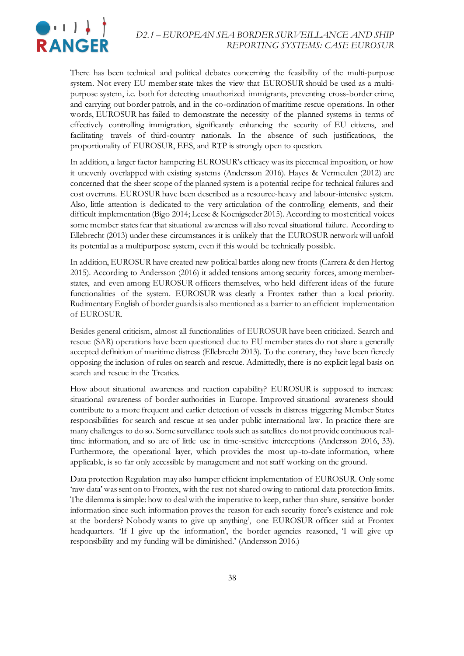

There has been technical and political debates concerning the feasibility of the multi-purpose system. Not every EU member state takes the view that EUROSUR should be used as a multipurpose system, i.e. both for detecting unauthorized immigrants, preventing cross-border crime, and carrying out border patrols, and in the co-ordination of maritime rescue operations. In other words, EUROSUR has failed to demonstrate the necessity of the planned systems in terms of effectively controlling immigration, significantly enhancing the security of EU citizens, and facilitating travels of third-country nationals. In the absence of such justifications, the proportionality of EUROSUR, EES, and RTP is strongly open to question.

In addition, a larger factor hampering EUROSUR's efficacy was its piecemeal imposition, or how it unevenly overlapped with existing systems (Andersson 2016). Hayes & Vermeulen (2012) are concerned that the sheer scope of the planned system is a potential recipe for technical failures and cost overruns. EUROSUR have been described as a resource-heavy and labour-intensive system. Also, little attention is dedicated to the very articulation of the controlling elements, and their difficult implementation (Bigo 2014; Leese & Koenigseder 2015). According to most critical voices some member states fear that situational awareness will also reveal situational failure. According to Ellebrecht (2013) under these circumstances it is unlikely that the EUROSUR network will unfold its potential as a multipurpose system, even if this would be technically possible.

In addition, EUROSUR have created new political battles along new fronts (Carrera & den Hertog 2015). According to Andersson (2016) it added tensions among security forces, among memberstates, and even among EUROSUR officers themselves, who held different ideas of the future functionalities of the system. EUROSUR was clearly a Frontex rather than a local priority. Rudimentary English of border guards is also mentioned as a barrier to an efficient implementation of EUROSUR.

Besides general criticism, almost all functionalities of EUROSUR have been criticized. Search and rescue (SAR) operations have been questioned due to EU member states do not share a generally accepted definition of maritime distress (Ellebrecht 2013). To the contrary, they have been fiercely opposing the inclusion of rules on search and rescue. Admittedly, there is no explicit legal basis on search and rescue in the Treaties.

How about situational awareness and reaction capability? EUROSUR is supposed to increase situational awareness of border authorities in Europe. Improved situational awareness should contribute to a more frequent and earlier detection of vessels in distress triggering Member States responsibilities for search and rescue at sea under public international law. In practice there are many challenges to do so. Some surveillance tools such as satellites do not provide continuous realtime information, and so are of little use in time-sensitive interceptions (Andersson 2016, 33). Furthermore, the operational layer, which provides the most up-to-date information, where applicable, is so far only accessible by management and not staff working on the ground.

Data protection Regulation may also hamper efficient implementation of EUROSUR. Only some 'raw data' was sent on to Frontex, with the rest not shared owing to national data protection limits. The dilemma is simple: how to deal with the imperative to keep, rather than share, sensitive border information since such information proves the reason for each security force's existence and role at the borders? Nobody wants to give up anything', one EUROSUR officer said at Frontex headquarters. If I give up the information', the border agencies reasoned, I will give up responsibility and my funding will be diminished.' (Andersson 2016.)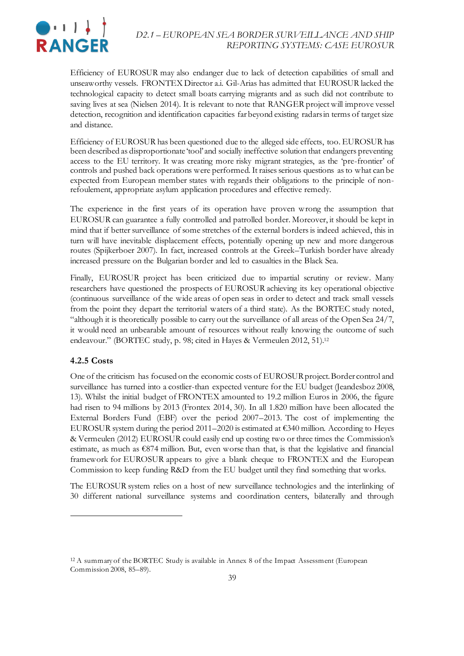

Efficiency of EUROSUR may also endanger due to lack of detection capabilities of small and unseaworthy vessels. FRONTEX Director a.i. Gil-Arias has admitted that EUROSUR lacked the technological capacity to detect small boats carrying migrants and as such did not contribute to saving lives at sea (Nielsen 2014). It is relevant to note that RANGER project will improve vessel detection, recognition and identification capacities far beyond existing radars in terms of target size and distance.

Efficiency of EUROSUR has been questioned due to the alleged side effects, too. EUROSUR has been described as disproportionate 'tool' and socially ineffective solution that endangers preventing access to the EU territory. It was creating more risky migrant strategies, as the 'pre-frontier' of controls and pushed back operations were performed. It raises serious questions as to what can be expected from European member states with regards their obligations to the principle of nonrefoulement, appropriate asylum application procedures and effective remedy.

The experience in the first years of its operation have proven wrong the assumption that EUROSUR can guarantee a fully controlled and patrolled border. Moreover, it should be kept in mind that if better surveillance of some stretches of the external borders is indeed achieved, this in turn will have inevitable displacement effects, potentially opening up new and more dangerous routes (Spijkerboer 2007). In fact, increased controls at the Greek–Turkish border have already increased pressure on the Bulgarian border and led to casualties in the Black Sea.

Finally, EUROSUR project has been criticized due to impartial scrutiny or review. Many researchers have questioned the prospects of EUROSUR achieving its key operational objective (continuous surveillance of the wide areas of open seas in order to detect and track small vessels from the point they depart the territorial waters of a third state). As the BORTEC study noted, "although it is theoretically possible to carry out the surveillance of all areas of the Open Sea 24/7, it would need an unbearable amount of resources without really knowing the outcome of such endeavour." (BORTEC study, p. 98; cited in Hayes & Vermeulen 2012, 51). 12

#### <span id="page-38-0"></span>**4.2.5 Costs**

 $\overline{a}$ 

One of the criticism has focused on the economic costs of EUROSUR project. Border control and surveillance has turned into a costlier-than expected venture for the EU budget (Jeandesboz 2008, 13). Whilst the initial budget of FRONTEX amounted to 19.2 million Euros in 2006, the figure had risen to 94 millions by 2013 (Frontex 2014, 30). In all 1.820 million have been allocated the External Borders Fund (EBF) over the period 2007–2013. The cost of implementing the EUROSUR system during the period 2011–2020 is estimated at  $€340$  million. According to Heyes & Vermeulen (2012) EUROSUR could easily end up costing two or three times the Commission's estimate, as much as  $E874$  million. But, even worse than that, is that the legislative and financial framework for EUROSUR appears to give a blank cheque to FRONTEX and the European Commission to keep funding R&D from the EU budget until they find something that works.

The EUROSUR system relies on a host of new surveillance technologies and the interlinking of 30 different national surveillance systems and coordination centers, bilaterally and through

<sup>12</sup> A summary of the BORTEC Study is available in Annex 8 of the Impact Assessment (European Commission 2008, 85–89).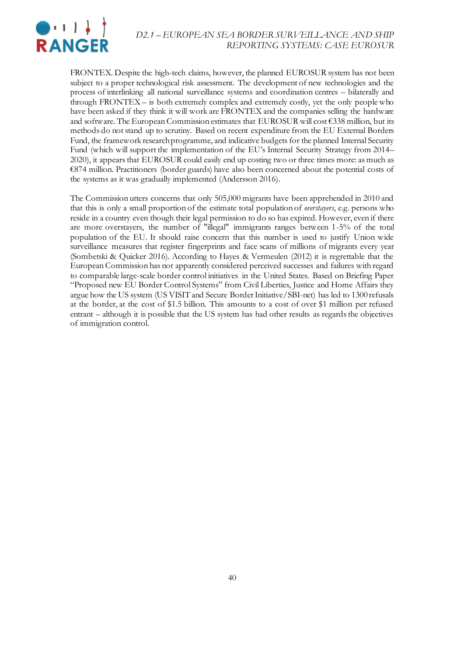

FRONTEX. Despite the high-tech claims, however, the planned EUROSUR system has not been subject to a proper technological risk assessment. The development of new technologies and the process of interlinking all national surveillance systems and coordination centres – bilaterally and through FRONTEX – is both extremely complex and extremely costly, yet the only people who have been asked if they think it will work are FRONTEX and the companies selling the hardware and software. The European Commission estimates that EUROSUR will cost €338 million, but its methods do not stand up to scrutiny. Based on recent expenditure from the EU External Borders Fund, the framework research programme, and indicative budgets for the planned Internal Security Fund (which will support the implementation of the EU's Internal Security Strategy from 2014– 2020), it appears that EUROSUR could easily end up costing two or three times more: as much as €874 million. Practitioners (border guards) have also been concerned about the potential costs of the systems as it was gradually implemented (Andersson 2016).

The Commission utters concerns that only 505,000 migrants have been apprehended in 2010 and that this is only a small proportion of the estimate total population of *overstayers*, e.g. persons who reside in a country even though their legal permission to do so has expired. However, even if there are more overstayers, the number of "illegal" immigrants ranges between 1-5% of the total population of the EU. It should raise concern that this number is used to justify Union wide surveillance measures that register fingerprints and face scans of millions of migrants every year (Sombetski & Quicker 2016). According to Hayes & Vermeulen (2012) it is regrettable that the European Commission has not apparently considered perceived successes and failures with regard to comparable large-scale border control initiatives in the United States. Based on Briefing Paper "Proposed new EU Border Control Systems" from Civil Liberties, Justice and Home Affairs they argue how the US system (US VISIT and Secure Border Initiative/SBI-net) has led to 1300 refusals at the border, at the cost of \$1.5 billion. This amounts to a cost of over \$1 million per refused entrant – although it is possible that the US system has had other results as regards the objectives of immigration control.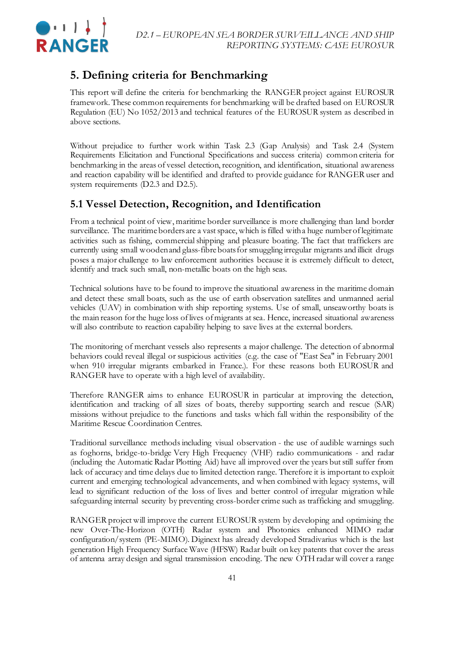

# <span id="page-40-0"></span>**5. Defining criteria for Benchmarking**

This report will define the criteria for benchmarking the RANGER project against EUROSUR framework. These common requirements for benchmarking will be drafted based on EUROSUR Regulation (EU) No 1052/2013 and technical features of the EUROSUR system as described in above sections.

Without prejudice to further work within Task 2.3 (Gap Analysis) and Task 2.4 (System Requirements Elicitation and Functional Specifications and success criteria) common criteria for benchmarking in the areas of vessel detection, recognition, and identification, situational awareness and reaction capability will be identified and drafted to provide guidance for RANGER user and system requirements (D2.3 and D2.5).

### <span id="page-40-1"></span>**5.1 Vessel Detection, Recognition, and Identification**

From a technical point of view, maritime border surveillance is more challenging than land border surveillance. The maritime borders are a vast space, which is filled with a huge number of legitimate activities such as fishing, commercial shipping and pleasure boating. The fact that traffickers are currently using small wooden and glass-fibre boats for smuggling irregular migrants and illicit drugs poses a major challenge to law enforcement authorities because it is extremely difficult to detect, identify and track such small, non-metallic boats on the high seas.

Technical solutions have to be found to improve the situational awareness in the maritime domain and detect these small boats, such as the use of earth observation satellites and unmanned aerial vehicles (UAV) in combination with ship reporting systems. Use of small, unseaworthy boats is the main reason for the huge loss of lives of migrants at sea. Hence, increased situational awareness will also contribute to reaction capability helping to save lives at the external borders.

The monitoring of merchant vessels also represents a major challenge. The detection of abnormal behaviors could reveal illegal or suspicious activities (e.g. the case of "East Sea" in February 2001 when 910 irregular migrants embarked in France.). For these reasons both EUROSUR and RANGER have to operate with a high level of availability.

Therefore RANGER aims to enhance EUROSUR in particular at improving the detection, identification and tracking of all sizes of boats, thereby supporting search and rescue (SAR) missions without prejudice to the functions and tasks which fall within the responsibility of the Maritime Rescue Coordination Centres.

Traditional surveillance methodsincluding visual observation - the use of audible warnings such as foghorns, bridge-to-bridge Very High Frequency (VHF) radio communications - and radar (including the Automatic Radar Plotting Aid) have all improved over the years but still suffer from lack of accuracy and time delays due to limited detection range. Therefore it is important to exploit current and emerging technological advancements, and when combined with legacy systems, will lead to significant reduction of the loss of lives and better control of irregular migration while safeguarding internal security by preventing cross-border crime such as trafficking and smuggling.

RANGER project will improve the current EUROSUR system by developing and optimising the new Over-The-Horizon (OTH) Radar system and Photonics enhanced MIMO radar configuration/system (PE-MIMO). Diginext has already developed Stradivarius which is the last generation High Frequency Surface Wave (HFSW) Radar built on key patents that cover the areas of antenna array design and signal transmission encoding. The new OTH radar will cover a range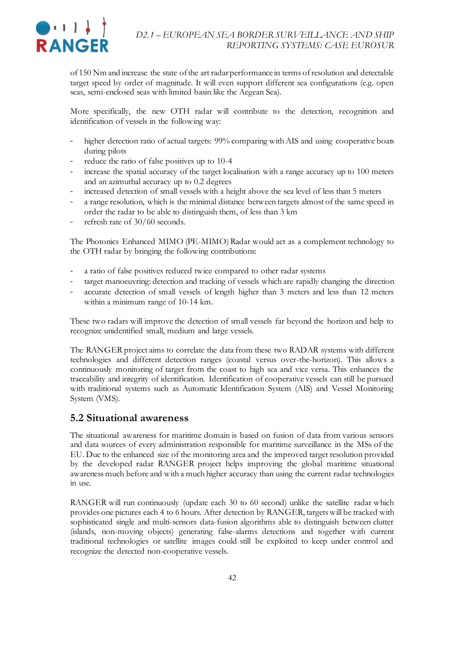

of 150 Nm and increase the state of the art radar performance in terms of resolution and detectable target speed by order of magnitude. It will even support different sea configurations (e.g. open seas, semi-enclosed seas with limited basin like the Aegean Sea).

More specifically, the new OTH radar will contribute to the detection, recognition and identification of vessels in the following way:

- higher detection ratio of actual targets: 99% comparing with AIS and using cooperative boats during pilots
- reduce the ratio of false positives up to 10-4
- increase the spatial accuracy of the target localisation with a range accuracy up to 100 meters and an azimuthal accuracy up to 0.2 degrees
- increased detection of small vessels with a height above the sea level of less than 5 meters
- a range resolution, which is the minimal distance between targets almost of the same speed in order the radar to be able to distinguish them, of less than 3 km
- refresh rate of 30/60 seconds.

The Photonics Enhanced MIMO (PE-MIMO) Radar would act as a complement technology to the OTH radar by bringing the following contributions:

- a ratio of false positives reduced twice compared to other radar systems
- target manoeuvring: detection and tracking of vessels which are rapidly changing the direction
- accurate detection of small vessels of length higher than 3 meters and less than 12 meters within a minimum range of 10-14 km.

These two radars will improve the detection of small vessels far beyond the horizon and help to recognize unidentified small, medium and large vessels.

The RANGER project aims to correlate the data from these two RADAR systems with different technologies and different detection ranges (coastal versus over-the-horizon). This allows a continuously monitoring of target from the coast to high sea and vice versa. This enhances the traceability and integrity of identification. Identification of cooperative vessels can still be pursued with traditional systems such as Automatic Identification System (AIS) and Vessel Monitoring System (VMS).

### <span id="page-41-0"></span>**5.2 Situational awareness**

The situational awareness for maritime domain is based on fusion of data from various sensors and data sources of every administration responsible for maritime surveillance in the MSs of the EU. Due to the enhanced size of the monitoring area and the improved target resolution provided by the developed radar RANGER project helps improving the global maritime situational awareness much before and with a much higher accuracy than using the current radar technologies in use.

RANGER will run continuously (update each 30 to 60 second) unlike the satellite radar which provides one pictures each 4 to 6 hours. After detection by RANGER, targets will be tracked with sophisticated single and multi-sensors data-fusion algorithms able to distinguish between clutter (islands, non-moving objects) generating false-alarms detections and together with current traditional technologies or satellite images could still be exploited to keep under control and recognize the detected non-cooperative vessels.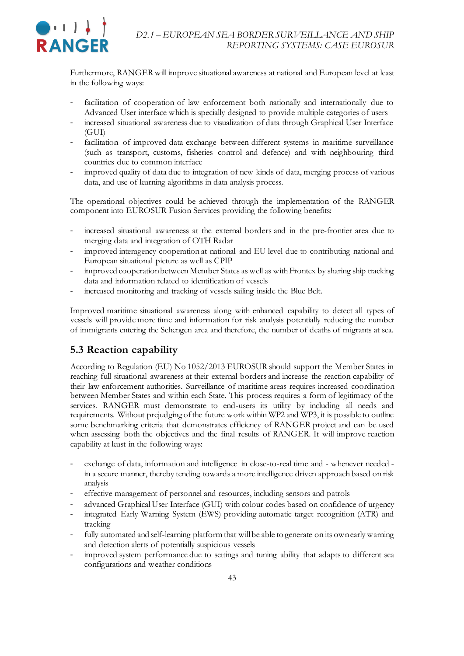

Furthermore, RANGER will improve situational awareness at national and European level at least in the following ways:

- facilitation of cooperation of law enforcement both nationally and internationally due to Advanced User interface which is specially designed to provide multiple categories of users
- increased situational awareness due to visualization of data through Graphical User Interface (GUI)
- facilitation of improved data exchange between different systems in maritime surveillance (such as transport, customs, fisheries control and defence) and with neighbouring third countries due to common interface
- improved quality of data due to integration of new kinds of data, merging process of various data, and use of learning algorithms in data analysis process.

The operational objectives could be achieved through the implementation of the RANGER component into EUROSUR Fusion Services providing the following benefits:

- increased situational awareness at the external borders and in the pre-frontier area due to merging data and integration of OTH Radar
- improved interagency cooperation at national and EU level due to contributing national and European situational picture as well as CPIP
- improved cooperation between Member States as well as with Frontex by sharing ship tracking data and information related to identification of vessels
- increased monitoring and tracking of vessels sailing inside the Blue Belt.

Improved maritime situational awareness along with enhanced capability to detect all types of vessels will provide more time and information for risk analysis potentially reducing the number of immigrants entering the Schengen area and therefore, the number of deaths of migrants at sea.

### <span id="page-42-0"></span>**5.3 Reaction capability**

According to Regulation (EU) No 1052/2013 EUROSUR should support the Member States in reaching full situational awareness at their external borders and increase the reaction capability of their law enforcement authorities. Surveillance of maritime areas requires increased coordination between Member States and within each State. This process requires a form of legitimacy of the services. RANGER must demonstrate to end-users its utility by including all needs and requirements. Without prejudging of the future work within WP2 and WP3, it is possible to outline some benchmarking criteria that demonstrates efficiency of RANGER project and can be used when assessing both the objectives and the final results of RANGER. It will improve reaction capability at least in the following ways:

- exchange of data, information and intelligence in close-to-real time and whenever needed in a secure manner, thereby tending towards a more intelligence driven approach based on risk analysis
- effective management of personnel and resources, including sensors and patrols
- advanced Graphical User Interface (GUI) with colour codes based on confidence of urgency
- integrated Early Warning System (EWS) providing automatic target recognition (ATR) and tracking
- fully automated and self-learning platform that will be able to generate on its own early warning and detection alerts of potentially suspicious vessels
- improved system performance due to settings and tuning ability that adapts to different sea configurations and weather conditions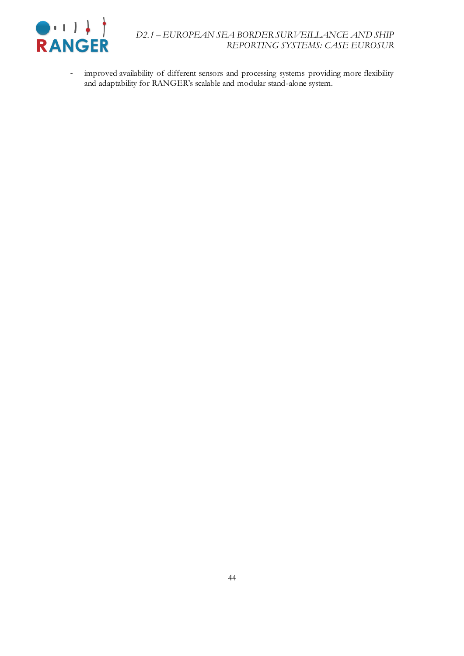

- improved availability of different sensors and processing systems providing more flexibility and adaptability for RANGER's scalable and modular stand-alone system.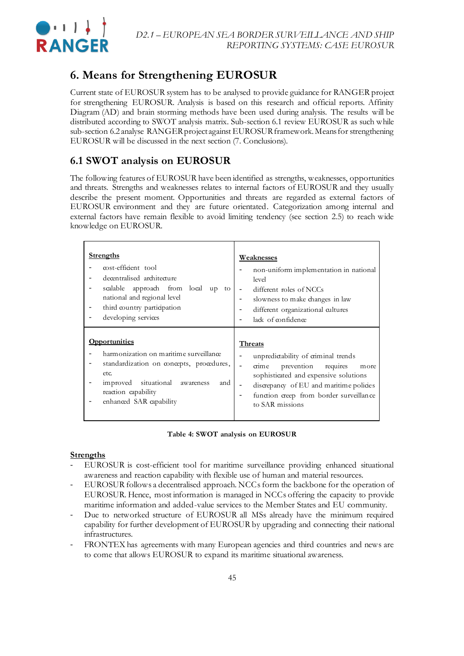

# <span id="page-44-0"></span>**6. Means for Strengthening EUROSUR**

Current state of EUROSUR system has to be analysed to provide guidance for RANGER project for strengthening EUROSUR. Analysis is based on this research and official reports. Affinity Diagram (AD) and brain storming methods have been used during analysis. The results will be distributed according to SWOT analysis matrix. Sub-section 6.1 review EUROSUR as such while sub-section 6.2 analyse RANGER project against EUROSUR framework. Means for strengthening EUROSUR will be discussed in the next section (7. Conclusions).

### <span id="page-44-1"></span>**6.1 SWOT analysis on EUROSUR**

The following features of EUROSUR have been identified as strengths, weaknesses, opportunities and threats. Strengths and weaknesses relates to internal factors of EUROSUR and they usually describe the present moment. Opportunities and threats are regarded as external factors of EUROSUR environment and they are future orientated. Categorization among internal and external factors have remain flexible to avoid limiting tendency (see section 2.5) to reach wide knowledge on EUROSUR.

| <b>Strengths</b><br>cost-efficient tool<br>decentralised architecture<br>scalable approach from local<br>up<br>to<br>national and regional level<br>third country participation<br>developing services              | Weaknesses<br>non-uniform implementation in national<br>level<br>different roles of NCCs<br>slowness to make changes in law<br>different organizational cultures<br>lack of confidence                                                          |
|---------------------------------------------------------------------------------------------------------------------------------------------------------------------------------------------------------------------|-------------------------------------------------------------------------------------------------------------------------------------------------------------------------------------------------------------------------------------------------|
| <b>Opportunities</b><br>harmonization on maritime surveillance<br>standardization on concepts, procedures,<br>etc.<br>situational<br>improved<br>and<br>awareness<br>reaction capability<br>enhanced SAR capability | <b>Threats</b><br>unpredictability of criminal trends<br>prevention requires<br>crime<br>more<br>sophisticated and expensive solutions<br>discrepancy of EU and maritime policies<br>function creep from border surveillance<br>to SAR missions |

#### **Table 4: SWOT analysis on EUROSUR**

#### **Strengths**

- EUROSUR is cost-efficient tool for maritime surveillance providing enhanced situational awareness and reaction capability with flexible use of human and material resources.
- EUROSUR follows a decentralised approach. NCCs form the backbone for the operation of EUROSUR. Hence, most information is managed in NCCs offering the capacity to provide maritime information and added-value services to the Member States and EU community.
- Due to networked structure of EUROSUR all MSs already have the minimum required capability for further development of EUROSUR by upgrading and connecting their national infrastructures.
- FRONTEX has agreements with many European agencies and third countries and news are to come that allows EUROSUR to expand its maritime situational awareness.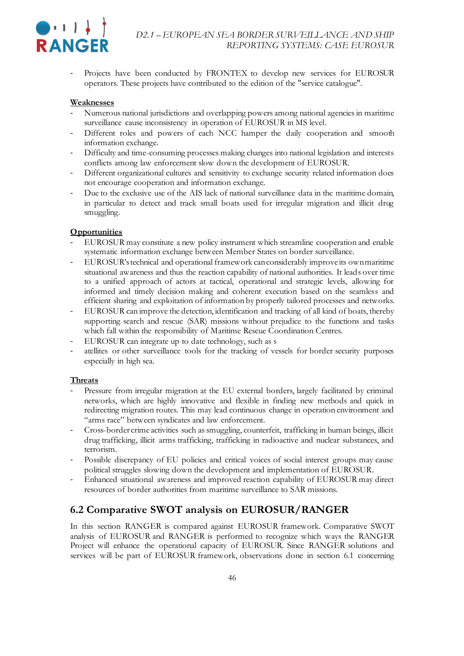

Projects have been conducted by FRONTEX to develop new services for EUROSUR operators. These projects have contributed to the edition of the "service catalogue".

#### **Weaknesses**

- Numerous national jurisdictions and overlapping powers among national agencies in maritime surveillance cause inconsistency in operation of EUROSUR in MS level.
- Different roles and powers of each NCC hamper the daily cooperation and smooth information exchange.
- Difficulty and time-consuming processes making changes into national legislation and interests conflicts among law enforcement slow down the development of EUROSUR.
- Different organizational cultures and sensitivity to exchange security related information does not encourage cooperation and information exchange.
- Due to the exclusive use of the AIS lack of national surveillance data in the maritime domain, in particular to detect and track small boats used for irregular migration and illicit drug smuggling.

#### **Opportunities**

- EUROSUR may constitute a new policy instrument which streamline cooperation and enable systematic information exchange between Member States on border surveillance.
- EUROSUR's technical and operational framework canconsiderably improve its own maritime situational awareness and thus the reaction capability of national authorities. It leads over time to a unified approach of actors at tactical, operational and strategic levels, allowing for informed and timely decision making and coherent execution based on the seamless and efficient sharing and exploitation of information by properly tailored processes and networks.
- EUROSUR can improve the detection, identification and tracking of all kind of boats, thereby supporting search and rescue (SAR) missions without prejudice to the functions and tasks which fall within the responsibility of Maritime Rescue Coordination Centres.
- EUROSUR can integrate up to date technology, such as s
- atellites or other surveillance tools for the tracking of vessels for border security purposes especially in high sea.

#### **Threats**

- Pressure from irregular migration at the EU external borders, largely facilitated by criminal networks, which are highly innovative and flexible in finding new methods and quick in redirecting migration routes. This may lead continuous change in operation environment and "arms race" between syndicates and law enforcement.
- Cross-border crime activities such as smuggling, counterfeit, trafficking in human beings, illicit drug trafficking, illicit arms trafficking, trafficking in radioactive and nuclear substances, and terrorism.
- Possible discrepancy of EU policies and critical voices of social interest groups may cause political struggles slowing down the development and implementation of EUROSUR.
- Enhanced situational awareness and improved reaction capability of EUROSUR may direct resources of border authorities from maritime surveillance to SAR missions.

### <span id="page-45-0"></span>**6.2 Comparative SWOT analysis on EUROSUR/RANGER**

In this section RANGER is compared against EUROSUR framework. Comparative SWOT analysis of EUROSUR and RANGER is performed to recognize which ways the RANGER Project will enhance the operational capacity of EUROSUR. Since RANGER solutions and services will be part of EUROSUR framework, observations done in section 6.1 concerning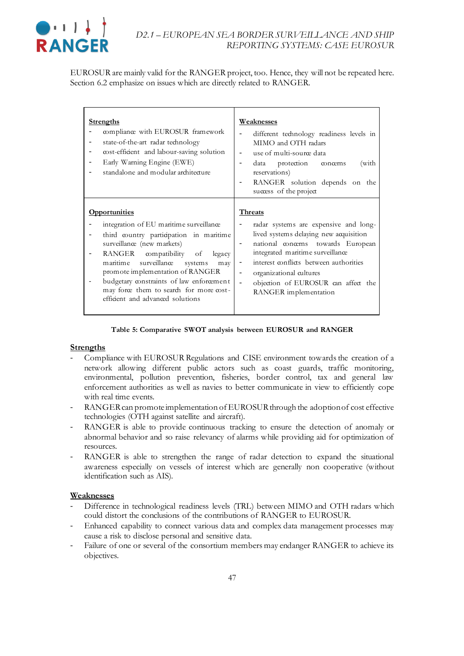

EUROSUR are mainly valid for the RANGER project, too. Hence, they will not be repeated here. Section 6.2 emphasize on issues which are directly related to RANGER.

| <b>Strengths</b><br>compliance with EUROSUR framework<br>state-of-the-art radar technology<br>cost-efficient and labour-saving solution<br>Early Warning Engine (EWE)<br>standalone and modular architecture                                                                                                                                                   | Weaknesses<br>different technology readiness levels in<br>MIMO and OTH radars<br>use of multi-source data<br>data<br>protection<br>(with<br>concerns<br>reservations)<br>RANGER solution depends on the<br>success of the project                                                                   |
|----------------------------------------------------------------------------------------------------------------------------------------------------------------------------------------------------------------------------------------------------------------------------------------------------------------------------------------------------------------|-----------------------------------------------------------------------------------------------------------------------------------------------------------------------------------------------------------------------------------------------------------------------------------------------------|
| <b>Opportunities</b>                                                                                                                                                                                                                                                                                                                                           | <b>Threats</b>                                                                                                                                                                                                                                                                                      |
| integration of EU mantime surveillance<br>third country participation in maritime<br>surveillance (new markets)<br>RANGER compatibility of legacy<br>surveillance<br>mantime<br>system s<br>may<br>promote implementation of RANGER<br>budgetary constraints of law enforcement<br>may force them to search for more cost-<br>efficient and advanced solutions | radar systems are expensive and long-<br>lived systems delaying new acquisition<br>national concerns towards European<br>integrated maritime surveillance<br>interest conflicts between authorities<br>-<br>organizational cultures<br>objection of EUROSUR can affect the<br>RANGER implementation |

#### **Table 5: Comparative SWOT analysis between EUROSUR and RANGER**

#### **Strengths**

- Compliance with EUROSUR Regulations and CISE environment towards the creation of a network allowing different public actors such as coast guards, traffic monitoring, environmental, pollution prevention, fisheries, border control, tax and general law enforcement authorities as well as navies to better communicate in view to efficiently cope with real time events.
- RANGERcan promote implementation of EUROSUR through the adoption of cost effective technologies (OTH against satellite and aircraft).
- RANGER is able to provide continuous tracking to ensure the detection of anomaly or abnormal behavior and so raise relevancy of alarms while providing aid for optimization of resources.
- RANGER is able to strengthen the range of radar detection to expand the situational awareness especially on vessels of interest which are generally non cooperative (without identification such as AIS).

#### **Weaknesses**

- Difference in technological readiness levels (TRL) between MIMO and OTH radars which could distort the conclusions of the contributions of RANGER to EUROSUR.
- Enhanced capability to connect various data and complex data management processes may cause a risk to disclose personal and sensitive data.
- Failure of one or several of the consortium members may endanger RANGER to achieve its objectives.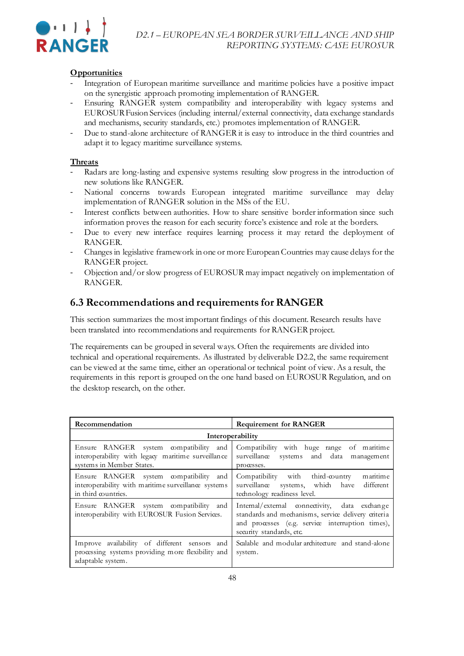

#### **Opportunities**

- Integration of European maritime surveillance and maritime policies have a positive impact on the synergistic approach promoting implementation of RANGER.
- Ensuring RANGER system compatibility and interoperability with legacy systems and EUROSUR Fusion Services (including internal/external connectivity, data exchange standards and mechanisms, security standards, etc.) promotes implementation of RANGER.
- Due to stand-alone architecture of RANGER it is easy to introduce in the third countries and adapt it to legacy maritime surveillance systems.

#### **Threats**

- Radars are long-lasting and expensive systems resulting slow progress in the introduction of new solutions like RANGER.
- National concerns towards European integrated maritime surveillance may delay implementation of RANGER solution in the MSs of the EU.
- Interest conflicts between authorities. How to share sensitive border information since such information proves the reason for each security force's existence and role at the borders.
- Due to every new interface requires learning process it may retard the deployment of RANGER.
- Changes in legislative framework in one or more European Countries may cause delays for the RANGER project.
- Objection and/or slow progress of EUROSUR may impact negatively on implementation of RANGER.

### <span id="page-47-0"></span>**6.3 Recommendations and requirements for RANGER**

This section summarizes the most important findings of this document. Research results have been translated into recommendations and requirements for RANGER project.

The requirements can be grouped in several ways. Often the requirements are divided into technical and operational requirements. As illustrated by deliverable D2.2, the same requirement can be viewed at the same time, either an operational or technical point of view. As a result, the requirements in this report is grouped on the one hand based on EUROSUR Regulation, and on the desktop research, on the other.

| Recommendation                                                                                                           | <b>Requirement for RANGER</b>                                                                                                                                                        |  |
|--------------------------------------------------------------------------------------------------------------------------|--------------------------------------------------------------------------------------------------------------------------------------------------------------------------------------|--|
| Interoperability                                                                                                         |                                                                                                                                                                                      |  |
| Ensure RANGER system compatibility and<br>interoperability with legacy mantime surveillance<br>systems in Member States. | Compatibility with huge range of mantime<br>surveillance<br>systems and data<br>management<br>processes.                                                                             |  |
| Ensure RANGER system compatibility<br>and<br>interoperability with mantime surveillance systems<br>in third countries.   | maritime<br>Compatibility with<br>third-country<br>surveillance systems, which have<br>different<br>technology readiness level.                                                      |  |
| Ensure RANGER system compatibility and<br>interoperability with EUROSUR Fusion Services.                                 | Internal/external connectivity, data exchange<br>standards and mechanisms, service delivery criteria<br>and processes (e.g. service interruption times),<br>security standards, etc. |  |
| Improve availability of different sensors and<br>processing systems providing more flexibility and<br>adaptable system.  | Scalable and modular architecture and stand-alone<br>system.                                                                                                                         |  |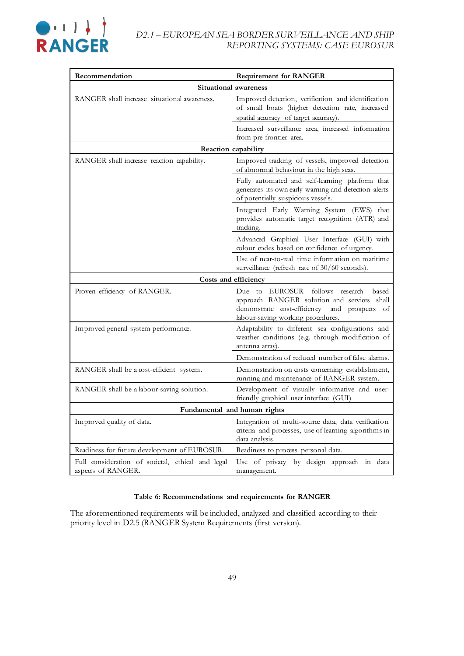

| Recommendation                                                          | <b>Requirement for RANGER</b>                                                                                                                                                            |  |
|-------------------------------------------------------------------------|------------------------------------------------------------------------------------------------------------------------------------------------------------------------------------------|--|
| <b>Situational awareness</b>                                            |                                                                                                                                                                                          |  |
| RANGER shall increase situational awareness.                            | Improved detection, verification and identification<br>of small boats (higher detection rate, increased<br>spatial accuracy of target accuracy).                                         |  |
|                                                                         | Increased surveillance area, increased information<br>from pre-frontier area.                                                                                                            |  |
| Reaction capability                                                     |                                                                                                                                                                                          |  |
| RANGER shall increase reaction capability.                              | Improved tracking of vessels, improved detection<br>of abnormal behaviour in the high seas.                                                                                              |  |
|                                                                         | Fully automated and self-learning platform that<br>generates its own early warning and detection alerts<br>of potentially suspicious vessels.                                            |  |
|                                                                         | Integrated Early Warning System (EWS) that<br>provides automatic target recognition (ATR) and<br>tracking.                                                                               |  |
|                                                                         | Advanced Graphical User Interface (GUI) with<br>colour codes based on confidence of urgency.                                                                                             |  |
|                                                                         | Use of near-to-real time information on mantime<br>surveillance (refresh rate of 30/60 seconds).                                                                                         |  |
| Costs and efficiency                                                    |                                                                                                                                                                                          |  |
| Proven efficiency of RANGER.                                            | Due to EUROSUR<br>follows research<br>based<br>approach RANGER solution and services<br>shall<br>demonstrate cost-efficiency<br>and prospects<br>of<br>labour-saving working procedures. |  |
| Improved general system performance.                                    | Adaptability to different sea configurations and<br>weather conditions (e.g. through modification of<br>antenna array).                                                                  |  |
|                                                                         | Demonstration of reduced number of false alarms.                                                                                                                                         |  |
| RANGER shall be a cost-efficient system.                                | Demonstration on costs concerning establishment,<br>running and maintenance of RANGER system.                                                                                            |  |
| RANGER shall be a labour-saving solution.                               | Development of visually informative and user-<br>friendly graphical user interface (GUI)                                                                                                 |  |
| Fundamental and human rights                                            |                                                                                                                                                                                          |  |
| Improved quality of data.                                               | Integration of multi-source data, data verification<br>criteria and processes, use of learning algorithms in<br>data analysis.                                                           |  |
| Readiness for future development of EUROSUR.                            | Readiness to process personal data.                                                                                                                                                      |  |
| Full consideration of societal, ethical and legal<br>aspects of RANGER. | Use of privacy by design approach in data<br>management.                                                                                                                                 |  |

#### **Table 6: Recommendations and requirements for RANGER**

The aforementioned requirements will be included, analyzed and classified according to their priority level in D2.5 (RANGER System Requirements (first version).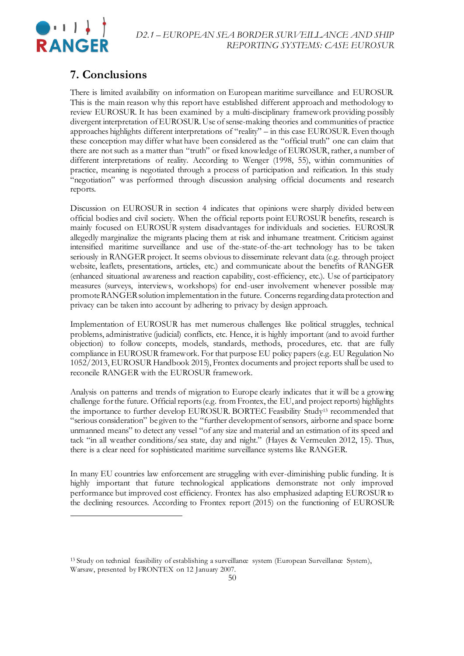

 $\overline{a}$ 

# <span id="page-49-0"></span>**7. Conclusions**

There is limited availability on information on European maritime surveillance and EUROSUR. This is the main reason why this report have established different approach and methodology to review EUROSUR. It has been examined by a multi-disciplinary framework providing possibly divergent interpretation of EUROSUR. Use of sense-making theories and communities of practice approaches highlights different interpretations of "reality" – in this case EUROSUR. Even though these conception may differ what have been considered as the "official truth" one can claim that there are not such as a matter than "truth" or fixed knowledge of EUROSUR, rather, a number of different interpretations of reality. According to Wenger (1998, 55), within communities of practice, meaning is negotiated through a process of participation and reification. In this study "negotiation" was performed through discussion analysing official documents and research reports.

Discussion on EUROSUR in section 4 indicates that opinions were sharply divided between official bodies and civil society. When the official reports point EUROSUR benefits, research is mainly focused on EUROSUR system disadvantages for individuals and societies. EUROSUR allegedly marginalize the migrants placing them at risk and inhumane treatment. Criticism against intensified maritime surveillance and use of the-state-of-the-art technology has to be taken seriously in RANGER project. It seems obvious to disseminate relevant data (e.g. through project website, leaflets, presentations, articles, etc.) and communicate about the benefits of RANGER (enhanced situational awareness and reaction capability, cost-efficiency, etc.). Use of participatory measures (surveys, interviews, workshops) for end-user involvement whenever possible may promote RANGER solution implementation in the future. Concerns regarding data protection and privacy can be taken into account by adhering to privacy by design approach.

Implementation of EUROSUR has met numerous challenges like political struggles, technical problems, administrative (judicial) conflicts, etc. Hence, it is highly important (and to avoid further objection) to follow concepts, models, standards, methods, procedures, etc. that are fully compliance in EUROSUR framework. For that purpose EU policy papers (e.g. EU Regulation No 1052/2013, EUROSUR Handbook 2015), Frontex documents and project reports shall be used to reconcile RANGER with the EUROSUR framework.

Analysis on patterns and trends of migration to Europe clearly indicates that it will be a growing challenge for the future. Official reports (e.g. from Frontex, the EU, and project reports) highlights the importance to further develop EUROSUR. BORTEC Feasibility Study<sup>13</sup> recommended that "serious consideration" be given to the "further development of sensors, airborne and space borne unmanned means" to detect any vessel "of any size and material and an estimation of its speed and tack "in all weather conditions/sea state, day and night." (Hayes & Vermeulen 2012, 15). Thus, there is a clear need for sophisticated maritime surveillance systems like RANGER.

In many EU countries law enforcement are struggling with ever-diminishing public funding. It is highly important that future technological applications demonstrate not only improved performance but improved cost efficiency. Frontex has also emphasized adapting EUROSUR to the declining resources. According to Frontex report (2015) on the functioning of EUROSUR:

<sup>13</sup> Study on technical feasibility of establishing a surveillance system (European Surveillance System), Warsaw, presented by FRONTEX on 12 January 2007.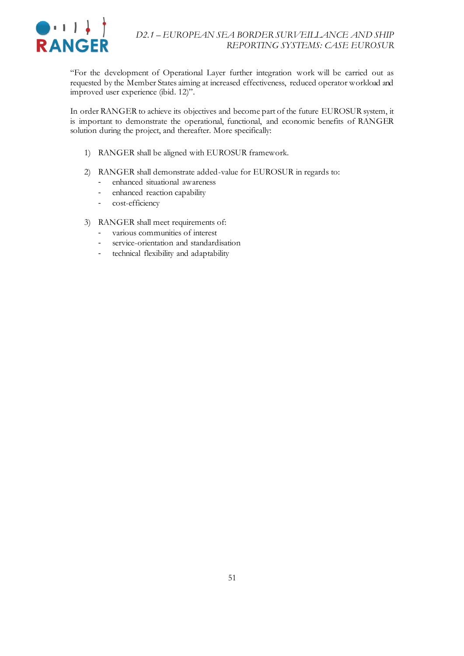

"For the development of Operational Layer further integration work will be carried out as requested by the Member States aiming at increased effectiveness, reduced operator workload and improved user experience (ibid. 12)".

In order RANGER to achieve its objectives and become part of the future EUROSUR system, it is important to demonstrate the operational, functional, and economic benefits of RANGER solution during the project, and thereafter. More specifically:

- 1) RANGER shall be aligned with EUROSUR framework.
- 2) RANGER shall demonstrate added-value for EUROSUR in regards to:
	- enhanced situational awareness
	- enhanced reaction capability
	- cost-efficiency
- 3) RANGER shall meet requirements of:
	- various communities of interest
	- service-orientation and standardisation
	- technical flexibility and adaptability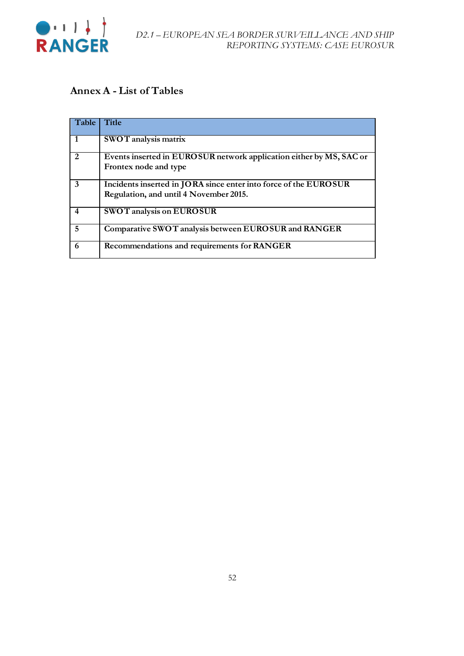

# <span id="page-51-0"></span>**Annex A - List of Tables**

| Table         | Title                                                                                                      |
|---------------|------------------------------------------------------------------------------------------------------------|
|               | SWOT analysis matrix                                                                                       |
| $\mathcal{D}$ | Events inserted in EUROSUR network application either by MS, SAC or<br>Frontex node and type               |
| 3             | Incidents inserted in JORA since enter into force of the EUROSUR<br>Regulation, and until 4 November 2015. |
| 4             | <b>SWOT</b> analysis on EUROSUR                                                                            |
| 5             | Comparative SWOT analysis between EUROSUR and RANGER                                                       |
| 6             | Recommendations and requirements for RANGER                                                                |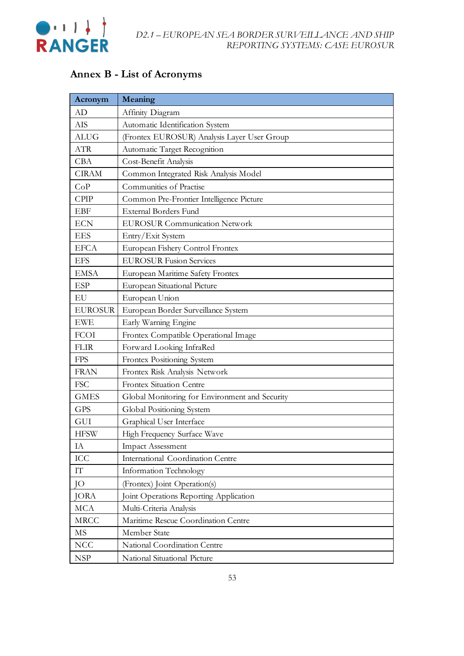

# <span id="page-52-0"></span>**Annex B - List of Acronyms**

| Acronym              | Meaning                                        |
|----------------------|------------------------------------------------|
| AD                   | Affinity Diagram                               |
| <b>AIS</b>           | Automatic Identification System                |
| <b>ALUG</b>          | (Frontex EUROSUR) Analysis Layer User Group    |
| <b>ATR</b>           | Automatic Target Recognition                   |
| <b>CBA</b>           | Cost-Benefit Analysis                          |
| <b>CIRAM</b>         | Common Integrated Risk Analysis Model          |
| CoP                  | Communities of Practise                        |
| <b>CPIP</b>          | Common Pre-Frontier Intelligence Picture       |
| EBF                  | External Borders Fund                          |
| <b>ECN</b>           | <b>EUROSUR Communication Network</b>           |
| <b>EES</b>           | Entry/Exit System                              |
| <b>EFCA</b>          | European Fishery Control Frontex               |
| <b>EFS</b>           | <b>EUROSUR Fusion Services</b>                 |
| <b>EMSA</b>          | European Maritime Safety Frontex               |
| <b>ESP</b>           | European Situational Picture                   |
| EU                   | European Union                                 |
| <b>EUROSUR</b>       | European Border Surveillance System            |
| <b>EWE</b>           | Early Warning Engine                           |
| <b>FCOI</b>          | Frontex Compatible Operational Image           |
| <b>FLIR</b>          | Forward Looking InfraRed                       |
| <b>FPS</b>           | Frontex Positioning System                     |
| <b>FRAN</b>          | Frontex Risk Analysis Network                  |
| <b>FSC</b>           | Frontex Situation Centre                       |
| <b>GMES</b>          | Global Monitoring for Environment and Security |
| <b>GPS</b>           | Global Positioning System                      |
| GUI                  | Graphical User Interface                       |
| <b>HFSW</b>          | High Frequency Surface Wave                    |
| $\rm IA$             | <b>Impact Assessment</b>                       |
| ICC                  | International Coordination Centre              |
| $\mathop{\text{IT}}$ | Information Technology                         |
| JО                   | (Frontex) Joint Operation(s)                   |
| <b>JORA</b>          | Joint Operations Reporting Application         |
| MCA                  | Multi-Criteria Analysis                        |
| <b>MRCC</b>          | Maritime Rescue Coordination Centre            |
| MS                   | Member State                                   |
| $\rm NCC$            | National Coordination Centre                   |
| <b>NSP</b>           | National Situational Picture                   |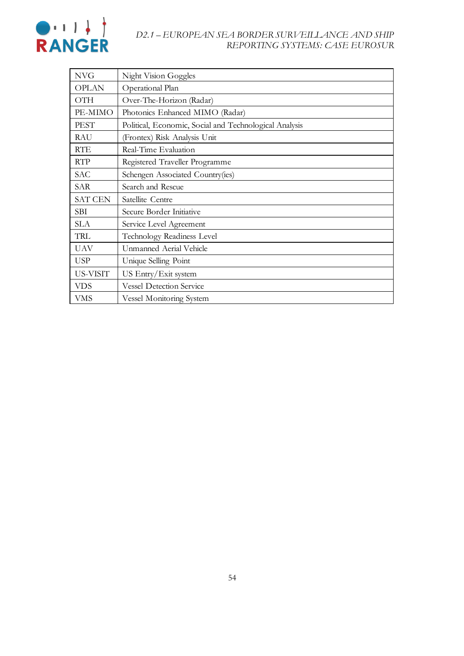

| <b>NVG</b>      | Night Vision Goggles                                   |
|-----------------|--------------------------------------------------------|
| <b>OPLAN</b>    | Operational Plan                                       |
| <b>OTH</b>      | Over-The-Horizon (Radar)                               |
| PE-MIMO         | Photonics Enhanced MIMO (Radar)                        |
| <b>PEST</b>     | Political, Economic, Social and Technological Analysis |
| <b>RAU</b>      | (Frontex) Risk Analysis Unit                           |
| <b>RTE</b>      | Real-Time Evaluation                                   |
| <b>RTP</b>      | Registered Traveller Programme                         |
| <b>SAC</b>      | Schengen Associated Country(ies)                       |
| <b>SAR</b>      | Search and Rescue                                      |
| <b>SAT CEN</b>  | Satellite Centre                                       |
| <b>SBI</b>      | Secure Border Initiative                               |
| <b>SLA</b>      | Service Level Agreement                                |
| TRL             | Technology Readiness Level                             |
| <b>UAV</b>      | Unmanned Aerial Vehicle                                |
| <b>USP</b>      | Unique Selling Point                                   |
| <b>US-VISIT</b> | US Entry/Exit system                                   |
| <b>VDS</b>      | <b>Vessel Detection Service</b>                        |
| VMS             | Vessel Monitoring System                               |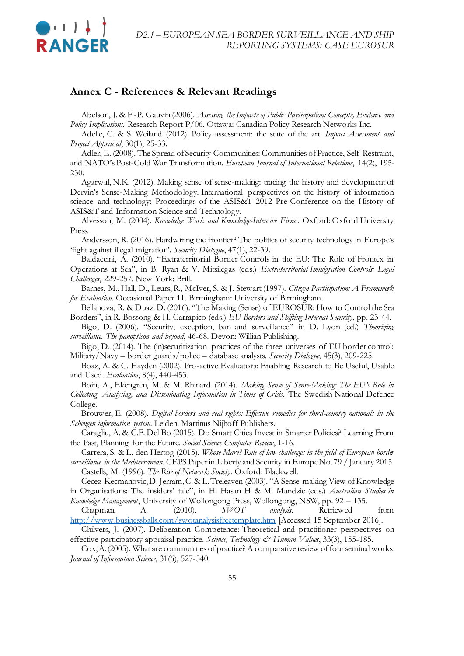

#### <span id="page-54-0"></span>**Annex C - References & Relevant Readings**

Abelson, J. & F.-P. Gauvin (2006). *Assessing the Impacts of Public Participation: Concepts, Evidence and Policy Implications.* Research Report P/06. Ottawa: Canadian Policy Research Networks Inc.

Adelle, C. & S. Weiland (2012). Policy assessment: the state of the art. *Impact Assessment and Project Appraisal*, 30(1), 25-33.

Adler, E. (2008). The Spread of Security Communities: Communities of Practice, Self-Restraint, and NATO's Post-Cold War Transformation. *European Journal of International Relations*, 14(2), 195- 230.

Agarwal, N.K. (2012). Making sense of sense-making: tracing the history and development of Dervin's Sense-Making Methodology. International perspectives on the history of information science and technology: Proceedings of the ASIS&T 2012 Pre-Conference on the History of ASIS&T and Information Science and Technology.

Alvesson, M. (2004). *Knowledge Work and Knowledge-Intensive Firms.* Oxford: Oxford University Press.

Andersson, R. (2016). Hardwiring the frontier? The politics of security technology in Europe's 'fight against illegal migration'. *Security Dialogue*, 47(1), 22-39.

Baldaccini, A. (2010). "Extraterritorial Border Controls in the EU: The Role of Frontex in Operations at Sea", in B. Ryan & V. Mitsilegas (eds.) *Extraterritorial Immigration Controls: Legal Challenges*, 229-257. New York: Brill.

Barnes, M., Hall, D., Leurs, R., McIver, S. & J. Stewart (1997). *Citizen Participation: A Framework for Evaluation*. Occasional Paper 11. Birmingham: University of Birmingham.

Bellanova, R. & Duaz. D. (2016). "The Making (Sense) of EUROSUR: How to Control the Sea Borders", in R. Bossong & H. Carrapico (eds.) *EU Borders and Shifting Internal Security*, pp. 23-44.

Bigo, D. (2006). "Security, exception, ban and surveillance" in D. Lyon (ed.) *Theorizing surveillance. The panopticon and beyond*, 46-68. Devon: Willian Publishing.

Bigo, D. (2014). The (in)securitization practices of the three universes of EU border control: Military/Navy – border guards/police – database analysts. *Security Dialogue*, 45(3), 209-225.

Boaz, A. & C. Hayden (2002). Pro-active Evaluators: Enabling Research to Be Useful, Usable and Used. *Evaluation*, 8(4), 440-453.

Boin, A., Ekengren, M. & M. Rhinard (2014). *Making Sense of Sense-Making: The EU's Role in Collecting, Analysing, and Disseminating Information in Times of Crisis.* The Swedish National Defence College.

Brouwer, E. (2008). *Digital borders and real rights: Effective remedies for third-country nationals in the Schengen information system*. Leiden: Martinus Nijhoff Publishers.

Caragliu, A. & C.F. Del Bo (2015). Do Smart Cities Invest in Smarter Policies? Learning From the Past, Planning for the Future. *Social Science Computer Review*, 1-16.

Carrera, S. & L. den Hertog (2015). *Whose Mare? Rule of law challenges in the field of European border surveillance in the Mediterranean.* CEPS Paper in Liberty and Security in Europe No. 79 / January 2015.

Castells, M. (1996). *The Rise of Network Society*. Oxford: Blackwell. Cecez-Kecmanovic, D. Jerram, C. & L. Treleaven (2003). "A Sense-making View of Knowledge in Organisations: The insiders' tale", in H. Hasan H & M. Mandzic (eds.) *Australian Studies in* 

*Knowledge Management*, University of Wollongong Press, Wollongong, NSW, pp. 92 – 135.

Chapman, A. (2010). *SWOT analysis*. Retriewed from <http://www.businessballs.com/swotanalysisfreetemplate.htm> [Accessed 15 September 2016].

Chilvers, J. (2007). Deliberation Competence: Theoretical and practitioner perspectives on effective participatory appraisal practice. *Science, Technology & Human Values*, 33(3), 155-185.

Cox, A. (2005). What are communities of practice? A comparative review of four seminal works. *Journal of Information Science*, 31(6), 527-540.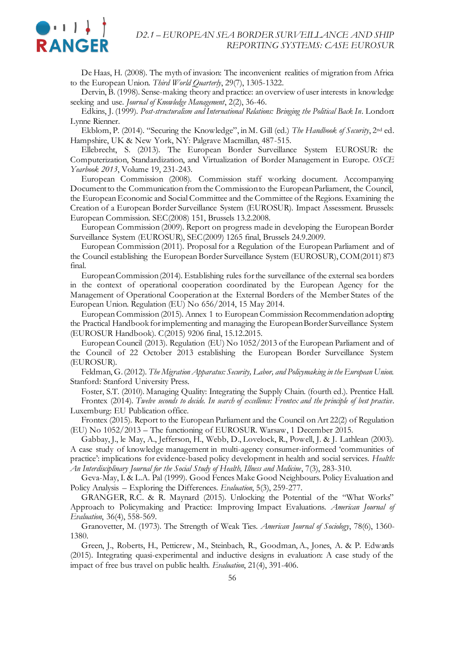

De Haas, H. (2008). The myth of invasion: The inconvenient realities of migration from Africa to the European Union. *Third World Quarterly*, 29(7), 1305-1322.

Dervin, B. (1998). Sense-making theory and practice: an overview of user interests in knowledge seeking and use. *Journal of Knowledge Management*, 2(2), 36-46.

Edkins, J. (1999). *Post-structuralism and International Relations: Bringing the Political Back In*. London: Lynne Rienner.

Ekblom, P. (2014). "Securing the Knowledge", in M. Gill (ed.) *The Handbook of Security*, 2nd ed. Hampshire, UK & New York, NY: Palgrave Macmillan, 487-515.

Ellebrecht, S. (2013). The European Border Surveillance System EUROSUR: the Computerization, Standardization, and Virtualization of Border Management in Europe. *OSCE Yearbook 2013*, Volume 19, 231-243.

European Commission (2008). Commission staff working document. Accompanying Document to the Communication from the Commission to the European Parliament, the Council, the European Economic and Social Committee and the Committee of the Regions. Examining the Creation of a European Border Surveillance System (EUROSUR). Impact Assessment. Brussels: European Commission. SEC(2008) 151, Brussels 13.2.2008.

European Commission (2009). Report on progress made in developing the European Border Surveillance System (EUROSUR), SEC(2009) 1265 final, Brussels 24.9.2009.

European Commission (2011). Proposal for a Regulation of the European Parliament and of the Council establishing the European Border Surveillance System (EUROSUR), COM(2011) 873 final.

European Commission (2014). Establishing rules for the surveillance of the external sea borders in the context of operational cooperation coordinated by the European Agency for the Management of Operational Cooperation at the External Borders of the Member States of the European Union. Regulation (EU) No 656/2014, 15 May 2014.

European Commission (2015). Annex 1 to European Commission Recommendation adopting the Practical Handbook for implementing and managing the European Border Surveillance System (EUROSUR Handbook). C(2015) 9206 final, 15.12.2015.

European Council (2013). Regulation (EU) No 1052/2013 of the European Parliament and of the Council of 22 October 2013 establishing the European Border Surveillance System (EUROSUR).

Feldman, G. (2012). *The Migration Apparatus: Security, Labor, and Policymaking in the European Union.*  Stanford: Stanford University Press.

Foster, S.T. (2010). Managing Quality: Integrating the Supply Chain. (fourth ed.). Prentice Hall. Frontex (2014). *Twelve seconds to decide. In search of excellence: Frontex and the principle of best practice*. Luxemburg: EU Publication office.

Frontex (2015). Report to the European Parliament and the Council on Art 22(2) of Regulation (EU) No 1052/2013 – The functioning of EUROSUR. Warsaw, 1 December 2015.

Gabbay, J., le May, A., Jefferson, H., Webb, D., Lovelock, R., Powell, J. & J. Lathlean (2003). A case study of knowledge management in multi-agency consumer-informeed 'communities of practice': implications for evidence-based policy development in health and social services. *Health: An Interdisciplinary Journal for the Social Study of Health, Illness and Medicine*, 7(3), 283-310.

Geva-May, I. & L.A. Pal (1999). Good Fences Make Good Neighbours. Policy Evaluation and Policy Analysis – Exploring the Differences. *Evaluation*, 5(3), 259-277.

GRANGER, R.C. & R. Maynard (2015). Unlocking the Potential of the "What Works" Approach to Policymaking and Practice: Improving Impact Evaluations. *American Journal of Evaluation*, 36(4), 558-569.

Granovetter, M. (1973). The Strength of Weak Ties. *American Journal of Sociology*, 78(6), 1360- 1380.

Green, J., Roberts, H., Petticrew, M., Steinbach, R., Goodman, A., Jones, A. & P. Edwards (2015). Integrating quasi-experimental and inductive designs in evaluation: A case study of the impact of free bus travel on public health. *Evaluation*, 21(4), 391-406.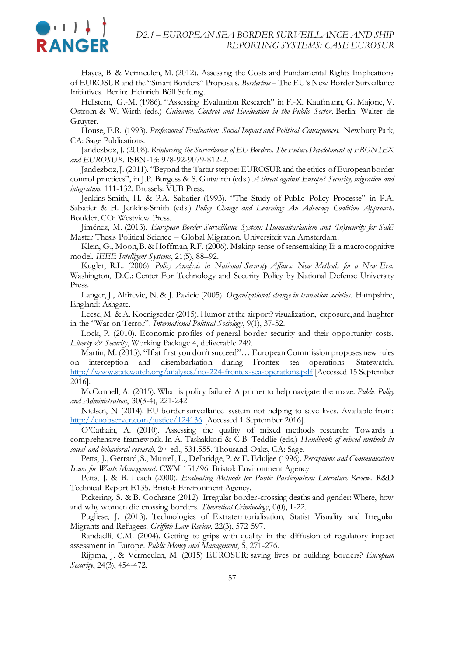

Hayes, B. & Vermeulen, M. (2012). Assessing the Costs and Fundamental Rights Implications of EUROSUR and the "Smart Borders" Proposals. *Borderline* – The EU's New Border Surveillance Initiatives. Berlin: Heinrich Böll Stiftung.

Hellstern, G.-M. (1986). "Assessing Evaluation Research" in F.-X. Kaufmann, G. Majone, V. Ostrom & W. Wirth (eds.) *Guidance, Control and Evaluation in the Public Sector*. Berlin: Walter de Gruyter.

House, E.R. (1993). *Professional Evaluation: Social Impact and Political Consequences*. Newbury Park, CA: Sage Publications.

Jandezboz, J. (2008). *Reinforcing the Surveillance of EU Borders. The Future Development of FRONTEX and EUROSUR*. ISBN-13: 978-92-9079-812-2.

Jandezboz, J. (2011). "Beyond the Tartar steppe: EUROSUR and the ethics of European border control practices", in J.P. Burgess & S. Gutwirth (eds.) *A threat against Europe? Security, migration and integration,* 111-132. Brussels: VUB Press.

Jenkins-Smith, H. & P.A. Sabatier (1993). "The Study of Public Policy Processe" in P.A. Sabatier & H. Jenkins-Smith (eds.) *Policy Change and Learning: An Advocacy Coalition Approach*. Boulder, CO: Westview Press.

Jiménez, M. (2013). *European Border Surveillance System: Humanitarianism and (In)security for Sale*? Master Thesis Political Science – Global Migration. Universiteit van Amsterdam.

Klein, G., Moon, B. & Hoffman, R.F. (2006). Making sense of sensemaking Ii: [a macrocognitive](https://en.wikipedia.org/wiki/Macrocognition) model. *IEEE Intelligent Systems*, 21(5), 88–92.

Kugler, R.L. (2006). *Policy Analysis in National Security Affairs: New Methods for a New Era.* Washington, D.C.: Center For Technology and Security Policy by National Defense University Press.

Langer, J., Alfirevic, N. & J. Pavicic (2005). *Organizational change in transition societies*. Hampshire, England: Ashgate.

Leese, M. & A. Koenigseder (2015). Humor at the airport? visualization, exposure, and laughter in the "War on Terror". *International Political Sociology*, 9(1), 37-52.

Lock, P. (2010). Economic profiles of general border security and their opportunity costs. *Liberty & Security*, Working Package 4, deliverable 249.

Martin, M. (2013). "If at first you don't succeed"… European Commission proposes new rules on interception and disembarkation during Frontex sea operations. Statewatch. <http://www.statewatch.org/analyses/no-224-frontex-sea-operations.pdf> [Accessed 15 September 2016].

McConnell, A. (2015). What is policy failure? A primer to help navigate the maze. *Public Policy and Administration*, 30(3-4), 221-242.

Nielsen, N (2014). EU border surveillance system not helping to save lives. Available from: <http://euobserver.com/justice/124136> [Accessed 1 September 2016].

O'Cathain, A. (2010). Assessing the quality of mixed methods research: Towards a comprehensive framework. In A. Tashakkori & C.B. Teddlie (eds.) *Handbook of mixed methods in social and behavioral research*, 2nd ed., 531.555. Thousand Oaks, CA: Sage.

Petts, J., Gerrard, S., Murrell, L., Delbridge, P. & E. Eduljee (1996). *Perceptions and Communication Issues for Waste Management*. CWM 151/96. Bristol: Environment Agency.

Petts, J. & B. Leach (2000). *Evaluating Methods for Public Participation: Literature Review*. R&D Technical Report E135. Bristol: Environment Agency.

Pickering. S. & B. Cochrane (2012). Irregular border-crossing deaths and gender: Where, how and why women die crossing borders. *Theoretical Criminology*, 0(0), 1-22.

Pugliese, J. (2013). Technologies of Extraterritorialisation, Statist Visuality and Irregular Migrants and Refugees. *Griffith Law Review*, 22(3), 572-597.

Randaelli, C.M. (2004). Getting to grips with quality in the diffusion of regulatory impact assessment in Europe. *Public Money and Management*, 5, 271-276.

Rijpma, J. & Vermeulen, M. (2015) EUROSUR: saving lives or building borders? *European Security*, 24(3), 454-472.